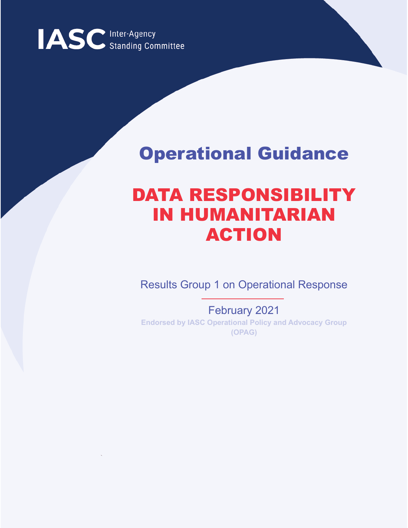

# Operational Guidance

# DATA RESPONSIBILITY IN HUMANITARIAN ACTION

Results Group 1 on Operational Response

February 2021 **Endorsed by IASC Operational Policy and Advocacy Group (OPAG)**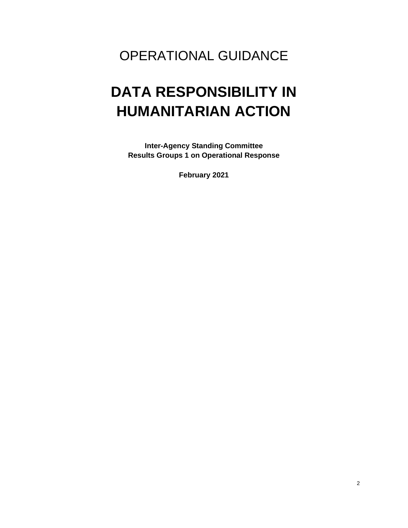### OPERATIONAL GUIDANCE

# **DATA RESPONSIBILITY IN HUMANITARIAN ACTION**

**Inter-Agency Standing Committee Results Groups 1 on Operational Response** 

**February 2021**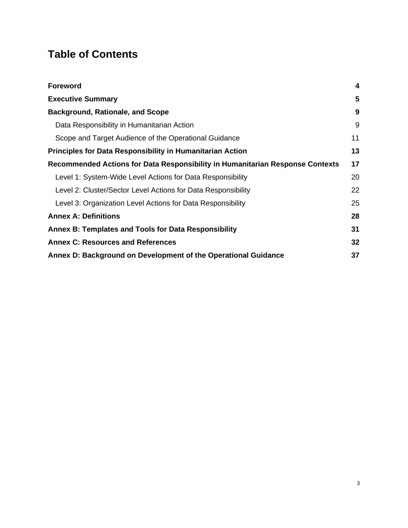### **Table of Contents**

| <b>Foreword</b>                                                               | $\overline{\mathbf{4}}$ |
|-------------------------------------------------------------------------------|-------------------------|
| <b>Executive Summary</b>                                                      | 5                       |
| <b>Background, Rationale, and Scope</b>                                       | 9                       |
| Data Responsibility in Humanitarian Action                                    | 9                       |
| Scope and Target Audience of the Operational Guidance                         | 11                      |
| <b>Principles for Data Responsibility in Humanitarian Action</b>              | 13                      |
| Recommended Actions for Data Responsibility in Humanitarian Response Contexts | 17                      |
| Level 1: System-Wide Level Actions for Data Responsibility                    | 20                      |
| Level 2: Cluster/Sector Level Actions for Data Responsibility                 | 22                      |
| Level 3: Organization Level Actions for Data Responsibility                   | 25                      |
| <b>Annex A: Definitions</b>                                                   | 28                      |
| Annex B: Templates and Tools for Data Responsibility                          | 31                      |
| <b>Annex C: Resources and References</b>                                      | 32                      |
| Annex D: Background on Development of the Operational Guidance                | 37                      |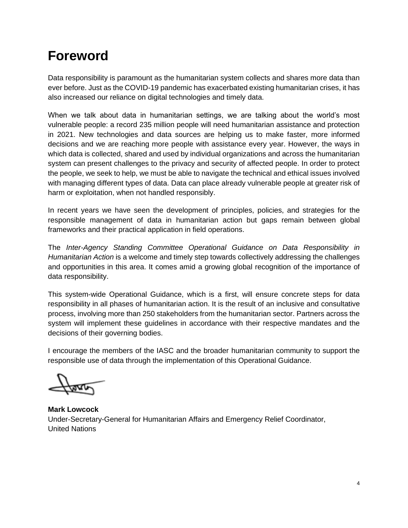### <span id="page-3-0"></span>**Foreword**

Data responsibility is paramount as the humanitarian system collects and shares more data than ever before. Just as the COVID-19 pandemic has exacerbated existing humanitarian crises, it has also increased our reliance on digital technologies and timely data.

When we talk about data in humanitarian settings, we are talking about the world's most vulnerable people: a record 235 million people will need humanitarian assistance and protection in 2021. New technologies and data sources are helping us to make faster, more informed decisions and we are reaching more people with assistance every year. However, the ways in which data is collected, shared and used by individual organizations and across the humanitarian system can present challenges to the privacy and security of affected people. In order to protect the people, we seek to help, we must be able to navigate the technical and ethical issues involved with managing different types of data. Data can place already vulnerable people at greater risk of harm or exploitation, when not handled responsibly.

In recent years we have seen the development of principles, policies, and strategies for the responsible management of data in humanitarian action but gaps remain between global frameworks and their practical application in field operations.

The *Inter-Agency Standing Committee Operational Guidance on Data Responsibility in Humanitarian Action* is a welcome and timely step towards collectively addressing the challenges and opportunities in this area. It comes amid a growing global recognition of the importance of data responsibility.

This system-wide Operational Guidance, which is a first, will ensure concrete steps for data responsibility in all phases of humanitarian action. It is the result of an inclusive and consultative process, involving more than 250 stakeholders from the humanitarian sector. Partners across the system will implement these guidelines in accordance with their respective mandates and the decisions of their governing bodies.

I encourage the members of the IASC and the broader humanitarian community to support the responsible use of data through the implementation of this Operational Guidance.

**Mark Lowcock** Under-Secretary-General for Humanitarian Affairs and Emergency Relief Coordinator, United Nations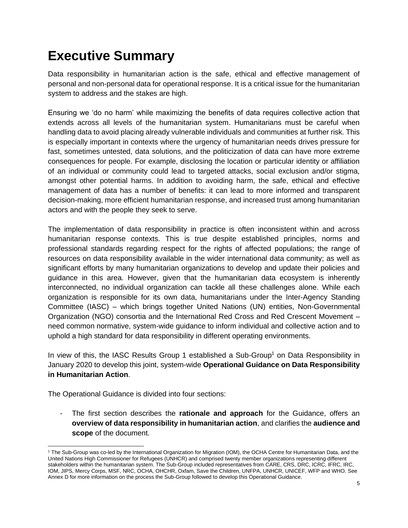## <span id="page-4-0"></span>**Executive Summary**

Data responsibility in humanitarian action is the safe, ethical and effective management of personal and non-personal data for operational response. It is a critical issue for the humanitarian system to address and the stakes are high.

Ensuring we 'do no harm' while maximizing the benefits of data requires collective action that extends across all levels of the humanitarian system. Humanitarians must be careful when handling data to avoid placing already vulnerable individuals and communities at further risk. This is especially important in contexts where the urgency of humanitarian needs drives pressure for fast, sometimes untested, data solutions, and the politicization of data can have more extreme consequences for people. For example, disclosing the location or particular identity or affiliation of an individual or community could lead to targeted attacks, social exclusion and/or stigma, amongst other potential harms. In addition to avoiding harm, the safe, ethical and effective management of data has a number of benefits: it can lead to more informed and transparent decision-making, more efficient humanitarian response, and increased trust among humanitarian actors and with the people they seek to serve.

The implementation of data responsibility in practice is often inconsistent within and across humanitarian response contexts. This is true despite established principles, norms and professional standards regarding respect for the rights of affected populations; the range of resources on data responsibility available in the wider international data community; as well as significant efforts by many humanitarian organizations to develop and update their policies and guidance in this area. However, given that the humanitarian data ecosystem is inherently interconnected, no individual organization can tackle all these challenges alone. While each organization is responsible for its own data, humanitarians under the Inter-Agency Standing Committee (IASC) – which brings together United Nations (UN) entities, Non-Governmental Organization (NGO) consortia and the International Red Cross and Red Crescent Movement – need common normative, system-wide guidance to inform individual and collective action and to uphold a high standard for data responsibility in different operating environments.

In view of this, the IASC Results Group 1 established a Sub-Group<sup>1</sup> on Data Responsibility in January 2020 to develop this joint, system-wide **Operational Guidance on Data Responsibility in Humanitarian Action**.

The Operational Guidance is divided into four sections:

- The first section describes the **rationale and approach** for the Guidance, offers an **overview of data responsibility in humanitarian action**, and clarifies the **audience and scope** of the document.

<sup>1</sup> The Sub-Group was co-led by the International Organization for Migration (IOM), the OCHA Centre for Humanitarian Data, and the United Nations High Commissioner for Refugees (UNHCR) and comprised twenty member organizations representing different stakeholders within the humanitarian system. The Sub-Group included representatives from CARE, CRS, DRC, ICRC, IFRC, IRC, IOM, JIPS, Mercy Corps, MSF, NRC, OCHA, OHCHR, Oxfam, Save the Children, UNFPA, UNHCR, UNICEF, WFP and WHO. See Annex D for more information on the process the Sub-Group followed to develop this Operational Guidance.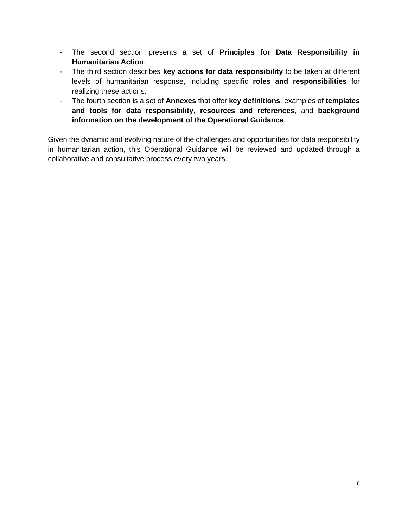- The second section presents a set of **Principles for Data Responsibility in Humanitarian Action**.
- The third section describes **key actions for data responsibility** to be taken at different levels of humanitarian response, including specific **roles and responsibilities** for realizing these actions.
- The fourth section is a set of **Annexes** that offer **key definitions**, examples of **templates and tools for data responsibility**, **resources and references**, and **background information on the development of the Operational Guidance**.

Given the dynamic and evolving nature of the challenges and opportunities for data responsibility in humanitarian action, this Operational Guidance will be reviewed and updated through a collaborative and consultative process every two years.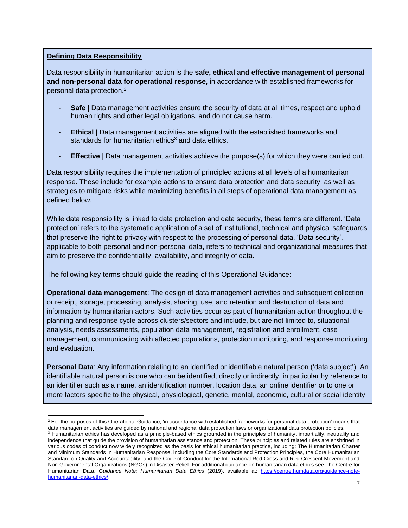#### **Defining Data Responsibility**

Data responsibility in humanitarian action is the **safe, ethical and effective management of personal and non-personal data for operational response,** in accordance with established frameworks for personal data protection. 2

- **Safe** | Data management activities ensure the security of data at all times, respect and uphold human rights and other legal obligations, and do not cause harm.
- **Ethical** | Data management activities are aligned with the established frameworks and standards for humanitarian ethics<sup>3</sup> and data ethics.
- **Effective** | Data management activities achieve the purpose(s) for which they were carried out.

Data responsibility requires the implementation of principled actions at all levels of a humanitarian response. These include for example actions to ensure data protection and data security, as well as strategies to mitigate risks while maximizing benefits in all steps of operational data management as defined below.

While data responsibility is linked to data protection and data security, these terms are different. 'Data protection' refers to the systematic application of a set of institutional, technical and physical safeguards that preserve the right to privacy with respect to the processing of personal data. 'Data security', applicable to both personal and non-personal data, refers to technical and organizational measures that aim to preserve the confidentiality, availability, and integrity of data.

The following key terms should guide the reading of this Operational Guidance:

**Operational data management**: The design of data management activities and subsequent collection or receipt, storage, processing, analysis, sharing, use, and retention and destruction of data and information by humanitarian actors. Such activities occur as part of humanitarian action throughout the planning and response cycle across clusters/sectors and include, but are not limited to, situational analysis, needs assessments, population data management, registration and enrollment, case management, communicating with affected populations, protection monitoring, and response monitoring and evaluation.

**Personal Data**: Any information relating to an identified or identifiable natural person ('data subject'). An identifiable natural person is one who can be identified, directly or indirectly, in particular by reference to an identifier such as a name, an identification number, location data, an online identifier or to one or more factors specific to the physical, physiological, genetic, mental, economic, cultural or social identity

<sup>&</sup>lt;sup>2</sup> For the purposes of this Operational Guidance, 'in accordance with established frameworks for personal data protection' means that data management activities are guided by national and regional data protection laws or organizational data protection policies. <sup>3</sup> Humanitarian ethics has developed as a principle-based ethics grounded in the principles of humanity, impartiality, neutrality and independence that guide the provision of humanitarian assistance and protection. These principles and related rules are enshrined in various codes of conduct now widely recognized as the basis for ethical humanitarian practice, including: The Humanitarian Charter and Minimum Standards in Humanitarian Response, including the Core Standards and Protection Principles, the Core Humanitarian Standard on Quality and Accountability, and the Code of Conduct for the International Red Cross and Red Crescent Movement and Non-Governmental Organizations (NGOs) in Disaster Relief. For additional guidance on humanitarian data ethics see The Centre for Humanitarian Data, *Guidance Note: Humanitarian Data Ethics* (2019), available at: [https://centre.humdata.org/guidance-note](https://centre.humdata.org/guidance-note-humanitarian-data-ethics/)[humanitarian-data-ethics/.](https://centre.humdata.org/guidance-note-humanitarian-data-ethics/)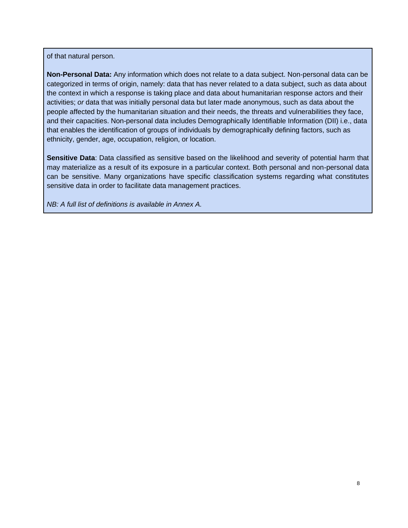of that natural person.

**Non-Personal Data:** Any information which does not relate to a data subject. Non-personal data can be categorized in terms of origin, namely: data that has never related to a data subject, such as data about the context in which a response is taking place and data about humanitarian response actors and their activities; *or* data that was initially personal data but later made anonymous, such as data about the people affected by the humanitarian situation and their needs, the threats and vulnerabilities they face, and their capacities. Non-personal data includes Demographically Identifiable Information (DII) i.e., data that enables the identification of groups of individuals by demographically defining factors, such as ethnicity, gender, age, occupation, religion, or location.

**Sensitive Data**: Data classified as sensitive based on the likelihood and severity of potential harm that may materialize as a result of its exposure in a particular context. Both personal and non-personal data can be sensitive. Many organizations have specific classification systems regarding what constitutes sensitive data in order to facilitate data management practices.

*NB: A full list of definitions is available in Annex A.*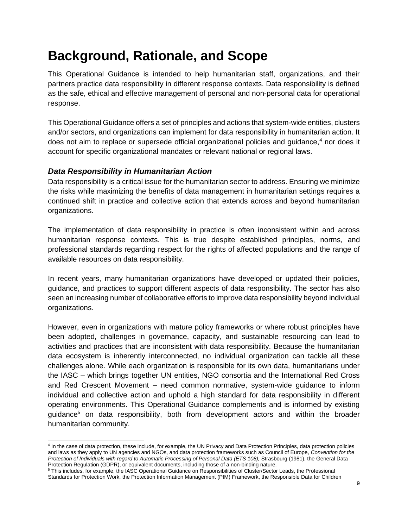## <span id="page-8-0"></span>**Background, Rationale, and Scope**

This Operational Guidance is intended to help humanitarian staff, organizations, and their partners practice data responsibility in different response contexts. Data responsibility is defined as the safe, ethical and effective management of personal and non-personal data for operational response.

This Operational Guidance offers a set of principles and actions that system-wide entities, clusters and/or sectors, and organizations can implement for data responsibility in humanitarian action. It does not aim to replace or supersede official organizational policies and quidance,<sup>4</sup> nor does it account for specific organizational mandates or relevant national or regional laws.

#### <span id="page-8-1"></span>*Data Responsibility in Humanitarian Action*

Data responsibility is a critical issue for the humanitarian sector to address. Ensuring we minimize the risks while maximizing the benefits of data management in humanitarian settings requires a continued shift in practice and collective action that extends across and beyond humanitarian organizations.

The implementation of data responsibility in practice is often inconsistent within and across humanitarian response contexts. This is true despite established principles, norms, and professional standards regarding respect for the rights of affected populations and the range of available resources on data responsibility.

In recent years, many humanitarian organizations have developed or updated their policies, guidance, and practices to support different aspects of data responsibility. The sector has also seen an increasing number of collaborative efforts to improve data responsibility beyond individual organizations.

However, even in organizations with mature policy frameworks or where robust principles have been adopted, challenges in governance, capacity, and sustainable resourcing can lead to activities and practices that are inconsistent with data responsibility. Because the humanitarian data ecosystem is inherently interconnected, no individual organization can tackle all these challenges alone. While each organization is responsible for its own data, humanitarians under the IASC – which brings together UN entities, NGO consortia and the International Red Cross and Red Crescent Movement – need common normative, system-wide guidance to inform individual and collective action and uphold a high standard for data responsibility in different operating environments. This Operational Guidance complements and is informed by existing guidance<sup>5</sup> on data responsibility, both from development actors and within the broader humanitarian community.

<sup>4</sup> In the case of data protection, these include, for example, the UN Privacy and Data Protection Principles, data protection policies and laws as they apply to UN agencies and NGOs, and data protection frameworks such as Council of Europe, *Convention for the*  Protection of Individuals with regard to Automatic Processing of Personal Data (ETS 108), Strasbourg (1981), the General Data Protection Regulation (GDPR), or equivalent documents, including those of a non-binding nature.

<sup>5</sup> This includes, for example, the IASC Operational Guidance on Responsibilities of Cluster/Sector Leads, the Professional Standards for Protection Work, the Protection Information Management (PIM) Framework, the Responsible Data for Children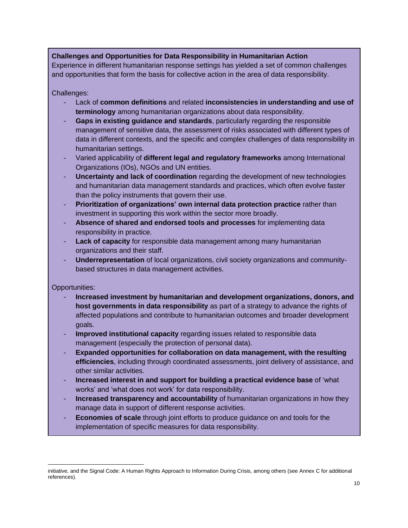#### **Challenges and Opportunities for Data Responsibility in Humanitarian Action**

Experience in different humanitarian response settings has yielded a set of common challenges and opportunities that form the basis for collective action in the area of data responsibility.

Challenges:

- Lack of **common definitions** and related **inconsistencies in understanding and use of terminology** among humanitarian organizations about data responsibility.
- Gaps in existing guidance and standards, particularly regarding the responsible management of sensitive data, the assessment of risks associated with different types of data in different contexts, and the specific and complex challenges of data responsibility in humanitarian settings.
- Varied applicability of **different legal and regulatory frameworks** among International Organizations (IOs), NGOs and UN entities.
- **Uncertainty and lack of coordination** regarding the development of new technologies and humanitarian data management standards and practices, which often evolve faster than the policy instruments that govern their use.
- **Prioritization of organizations' own internal data protection practice** rather than investment in supporting this work within the sector more broadly.
- **Absence of shared and endorsed tools and processes** for implementing data responsibility in practice.
- **Lack of capacity** for responsible data management among many humanitarian organizations and their staff.
- **Underrepresentation** of local organizations, civil society organizations and communitybased structures in data management activities.

Opportunities:

- **Increased investment by humanitarian and development organizations, donors, and host governments in data responsibility** as part of a strategy to advance the rights of affected populations and contribute to humanitarian outcomes and broader development goals.
- Improved institutional capacity regarding issues related to responsible data management (especially the protection of personal data).
- **Expanded opportunities for collaboration on data management, with the resulting efficiencies**, including through coordinated assessments, joint delivery of assistance, and other similar activities.
- **Increased interest in and support for building a practical evidence base** of 'what works' and 'what does not work' for data responsibility.
- **Increased transparency and accountability** of humanitarian organizations in how they manage data in support of different response activities.
- **Economies of scale** through joint efforts to produce guidance on and tools for the implementation of specific measures for data responsibility.

initiative, and the Signal Code: A Human Rights Approach to Information During Crisis, among others (see Annex C for additional references).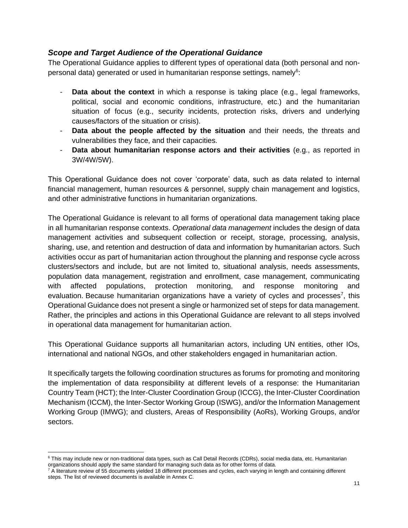#### <span id="page-10-0"></span>*Scope and Target Audience of the Operational Guidance*

The Operational Guidance applies to different types of operational data (both personal and nonpersonal data) generated or used in humanitarian response settings, namely<sup>6</sup>:

- **Data about the context** in which a response is taking place (e.g., legal frameworks, political, social and economic conditions, infrastructure, etc.) and the humanitarian situation of focus (e.g., security incidents, protection risks, drivers and underlying causes/factors of the situation or crisis).
- **Data about the people affected by the situation** and their needs, the threats and vulnerabilities they face, and their capacities.
- **Data about humanitarian response actors and their activities** (e.g., as reported in 3W/4W/5W).

This Operational Guidance does not cover 'corporate' data, such as data related to internal financial management, human resources & personnel, supply chain management and logistics, and other administrative functions in humanitarian organizations.

The Operational Guidance is relevant to all forms of operational data management taking place in all humanitarian response contexts. *Operational data management* includes the design of data management activities and subsequent collection or receipt, storage, processing, analysis, sharing, use, and retention and destruction of data and information by humanitarian actors. Such activities occur as part of humanitarian action throughout the planning and response cycle across clusters/sectors and include, but are not limited to, situational analysis, needs assessments, population data management, registration and enrollment, case management, communicating with affected populations, protection monitoring, and response monitoring and evaluation. Because humanitarian organizations have a variety of cycles and processes<sup>7</sup>, this Operational Guidance does not present a single or harmonized set of steps for data management. Rather, the principles and actions in this Operational Guidance are relevant to all steps involved in operational data management for humanitarian action.

This Operational Guidance supports all humanitarian actors, including UN entities, other IOs, international and national NGOs, and other stakeholders engaged in humanitarian action.

It specifically targets the following coordination structures as forums for promoting and monitoring the implementation of data responsibility at different levels of a response: the Humanitarian Country Team (HCT); the Inter-Cluster Coordination Group (ICCG), the Inter-Cluster Coordination Mechanism (ICCM), the Inter-Sector Working Group (ISWG), and/or the Information Management Working Group (IMWG); and clusters, Areas of Responsibility (AoRs), Working Groups, and/or sectors.

<sup>&</sup>lt;sup>6</sup> This may include new or non-traditional data types, such as Call Detail Records (CDRs), social media data, etc. Humanitarian organizations should apply the same standard for managing such data as for other forms of data.

 $7$  A literature review of 55 documents yielded 18 different processes and cycles, each varying in length and containing different steps. The list of reviewed documents is available in Annex C.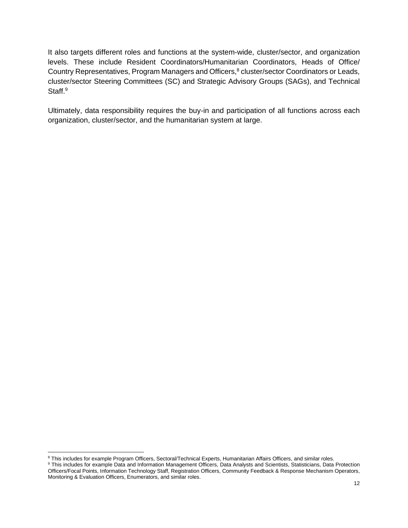It also targets different roles and functions at the system-wide, cluster/sector, and organization levels. These include Resident Coordinators/Humanitarian Coordinators, Heads of Office/ Country Representatives, Program Managers and Officers,<sup>8</sup> cluster/sector Coordinators or Leads, cluster/sector Steering Committees (SC) and Strategic Advisory Groups (SAGs), and Technical Staff.<sup>9</sup>

Ultimately, data responsibility requires the buy-in and participation of all functions across each organization, cluster/sector, and the humanitarian system at large.

<sup>&</sup>lt;sup>8</sup> This includes for example Program Officers, Sectoral/Technical Experts, Humanitarian Affairs Officers, and similar roles.

<sup>9</sup> This includes for example Data and Information Management Officers, Data Analysts and Scientists, Statisticians, Data Protection Officers/Focal Points, Information Technology Staff, Registration Officers, Community Feedback & Response Mechanism Operators, Monitoring & Evaluation Officers, Enumerators, and similar roles.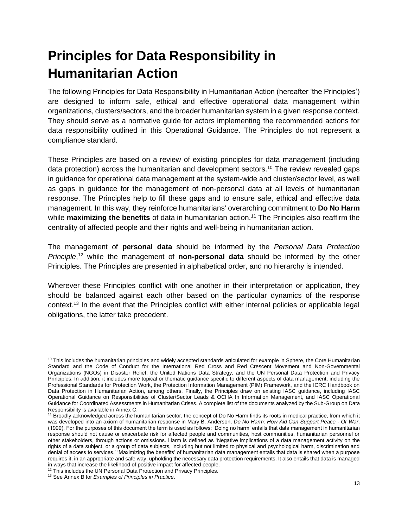# <span id="page-12-0"></span>**Principles for Data Responsibility in Humanitarian Action**

The following Principles for Data Responsibility in Humanitarian Action (hereafter 'the Principles') are designed to inform safe, ethical and effective operational data management within organizations, clusters/sectors, and the broader humanitarian system in a given response context. They should serve as a normative guide for actors implementing the recommended actions for data responsibility outlined in this Operational Guidance. The Principles do not represent a compliance standard.

These Principles are based on a review of existing principles for data management (including data protection) across the humanitarian and development sectors.<sup>10</sup> The review revealed gaps in guidance for operational data management at the system-wide and cluster/sector level, as well as gaps in guidance for the management of non-personal data at all levels of humanitarian response. The Principles help to fill these gaps and to ensure safe, ethical and effective data management. In this way, they reinforce humanitarians' overarching commitment to **Do No Harm** while **maximizing the benefits** of data in humanitarian action.<sup>11</sup> The Principles also reaffirm the centrality of affected people and their rights and well-being in humanitarian action.

The management of **personal data** should be informed by the *Personal Data Protection Principle*, <sup>12</sup> while the management of **non-personal data** should be informed by the other Principles. The Principles are presented in alphabetical order, and no hierarchy is intended.

Wherever these Principles conflict with one another in their interpretation or application, they should be balanced against each other based on the particular dynamics of the response context.<sup>13</sup> In the event that the Principles conflict with either internal policies or applicable legal obligations, the latter take precedent.

 $10$  This includes the humanitarian principles and widely accepted standards articulated for example in Sphere, the Core Humanitarian Standard and the Code of Conduct for the International Red Cross and Red Crescent Movement and Non-Governmental Organizations (NGOs) in Disaster Relief, the United Nations Data Strategy, and the UN Personal Data Protection and Privacy Principles. In addition, it includes more topical or thematic guidance specific to different aspects of data management, including the Professional Standards for Protection Work, the Protection Information Management (PIM) Framework, and the ICRC Handbook on Data Protection in Humanitarian Action, among others. Finally, the Principles draw on existing IASC guidance, including IASC Operational Guidance on Responsibilities of Cluster/Sector Leads & OCHA In Information Management, and IASC Operational Guidance for Coordinated Assessments in Humanitarian Crises. A complete list of the documents analyzed by the Sub-Group on Data Responsibility is available in Annex C.

<sup>&</sup>lt;sup>11</sup> Broadly acknowledged across the humanitarian sector, the concept of Do No Harm finds its roots in medical practice, from which it was developed into an axiom of humanitarian response in Mary B. Anderson, *Do No Harm: How Aid Can Support Peace - Or War*, (1999). For the purposes of this document the term is used as follows: 'Doing no harm' entails that data management in humanitarian response should not cause or exacerbate risk for affected people and communities, host communities, humanitarian personnel or other stakeholders, through actions or omissions. Harm is defined as 'Negative implications of a data management activity on the rights of a data subject, or a group of data subjects, including but not limited to physical and psychological harm, discrimination and denial of access to services.' 'Maximizing the benefits' of humanitarian data management entails that data is shared when a purpose requires it, in an appropriate and safe way, upholding the necessary data protection requirements. It also entails that data is managed in ways that increase the likelihood of positive impact for affected people.

<sup>&</sup>lt;sup>12</sup> This includes the UN Personal Data Protection and Privacy Principles.

<sup>13</sup> See Annex B for *Examples of Principles in Practice*.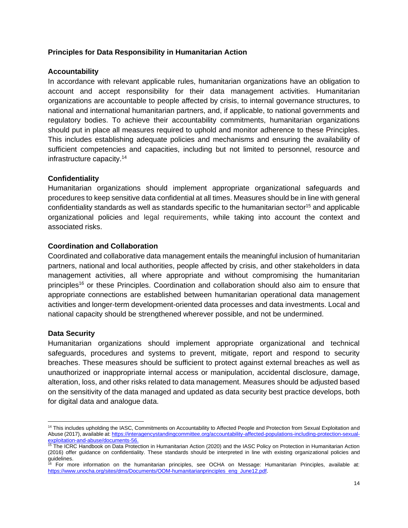#### **Principles for Data Responsibility in Humanitarian Action**

#### **Accountability**

In accordance with relevant applicable rules, humanitarian organizations have an obligation to account and accept responsibility for their data management activities. Humanitarian organizations are accountable to people affected by crisis, to internal governance structures, to national and international humanitarian partners, and, if applicable, to national governments and regulatory bodies. To achieve their accountability commitments, humanitarian organizations should put in place all measures required to uphold and monitor adherence to these Principles. This includes establishing adequate policies and mechanisms and ensuring the availability of sufficient competencies and capacities, including but not limited to personnel, resource and infrastructure capacity.<sup>14</sup>

#### **Confidentiality**

Humanitarian organizations should implement appropriate organizational safeguards and procedures to keep sensitive data confidential at all times. Measures should be in line with general confidentiality standards as well as standards specific to the humanitarian sector<sup>15</sup> and applicable organizational policies and legal requirements, while taking into account the context and associated risks.

#### **Coordination and Collaboration**

Coordinated and collaborative data management entails the meaningful inclusion of humanitarian partners, national and local authorities, people affected by crisis, and other stakeholders in data management activities, all where appropriate and without compromising the humanitarian principles<sup>16</sup> or these Principles. Coordination and collaboration should also aim to ensure that appropriate connections are established between humanitarian operational data management activities and longer-term development-oriented data processes and data investments. Local and national capacity should be strengthened wherever possible, and not be undermined.

#### **Data Security**

Humanitarian organizations should implement appropriate organizational and technical safeguards, procedures and systems to prevent, mitigate, report and respond to security breaches. These measures should be sufficient to protect against external breaches as well as unauthorized or inappropriate internal access or manipulation, accidental disclosure, damage, alteration, loss, and other risks related to data management. Measures should be adjusted based on the sensitivity of the data managed and updated as data security best practice develops, both for digital data and analogue data.

<sup>&</sup>lt;sup>14</sup> This includes upholding the IASC, Commitments on Accountability to Affected People and Protection from Sexual Exploitation and Abuse (2017), available at: [https://interagencystandingcommittee.org/accountability-affected-populations-including-protection-sexual](https://interagencystandingcommittee.org/accountability-affected-populations-including-protection-sexual-exploitation-and-abuse/documents-56)[exploitation-and-abuse/documents-56.](https://interagencystandingcommittee.org/accountability-affected-populations-including-protection-sexual-exploitation-and-abuse/documents-56)

<sup>&</sup>lt;sup>15</sup> The ICRC Handbook on Data Protection in Humanitarian Action (2020) and the IASC Policy on Protection in Humanitarian Action (2016) offer guidance on confidentiality. These standards should be interpreted in line with existing organizational policies and guidelines.

<sup>16</sup> For more information on the humanitarian principles, see OCHA on Message: Humanitarian Principles, available at: [https://www.unocha.org/sites/dms/Documents/OOM-humanitarianprinciples\\_eng\\_June12.pdf.](https://www.unocha.org/sites/dms/Documents/OOM-humanitarianprinciples_eng_June12.pdf)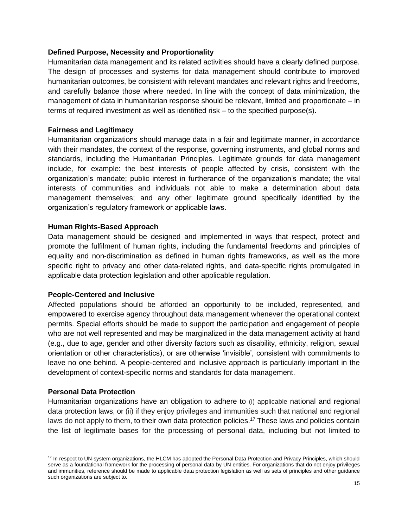#### **Defined Purpose, Necessity and Proportionality**

Humanitarian data management and its related activities should have a clearly defined purpose. The design of processes and systems for data management should contribute to improved humanitarian outcomes, be consistent with relevant mandates and relevant rights and freedoms, and carefully balance those where needed. In line with the concept of data minimization, the management of data in humanitarian response should be relevant, limited and proportionate – in terms of required investment as well as identified risk – to the specified purpose(s).

#### **Fairness and Legitimacy**

Humanitarian organizations should manage data in a fair and legitimate manner, in accordance with their mandates, the context of the response, governing instruments, and global norms and standards, including the Humanitarian Principles. Legitimate grounds for data management include, for example: the best interests of people affected by crisis, consistent with the organization's mandate; public interest in furtherance of the organization's mandate; the vital interests of communities and individuals not able to make a determination about data management themselves; and any other legitimate ground specifically identified by the organization's regulatory framework or applicable laws.

#### **Human Rights-Based Approach**

Data management should be designed and implemented in ways that respect, protect and promote the fulfilment of human rights, including the fundamental freedoms and principles of equality and non-discrimination as defined in human rights frameworks, as well as the more specific right to privacy and other data-related rights, and data-specific rights promulgated in applicable data protection legislation and other applicable regulation.

#### **People-Centered and Inclusive**

Affected populations should be afforded an opportunity to be included, represented, and empowered to exercise agency throughout data management whenever the operational context permits. Special efforts should be made to support the participation and engagement of people who are not well represented and may be marginalized in the data management activity at hand (e.g., due to age, gender and other diversity factors such as disability, ethnicity, religion, sexual orientation or other characteristics), or are otherwise 'invisible', consistent with commitments to leave no one behind. A people-centered and inclusive approach is particularly important in the development of context-specific norms and standards for data management.

#### **Personal Data Protection**

Humanitarian organizations have an obligation to adhere to (i) applicable national and regional data protection laws, or (ii) if they enjoy privileges and immunities such that national and regional laws do not apply to them, to their own data protection policies.<sup>17</sup> These laws and policies contain the list of legitimate bases for the processing of personal data, including but not limited to

<sup>&</sup>lt;sup>17</sup> In respect to UN-system organizations, the HLCM has adopted the Personal Data Protection and Privacy Principles, which should serve as a foundational framework for the processing of personal data by UN entities. For organizations that do not enjoy privileges and immunities, reference should be made to applicable data protection legislation as well as sets of principles and other guidance such organizations are subject to.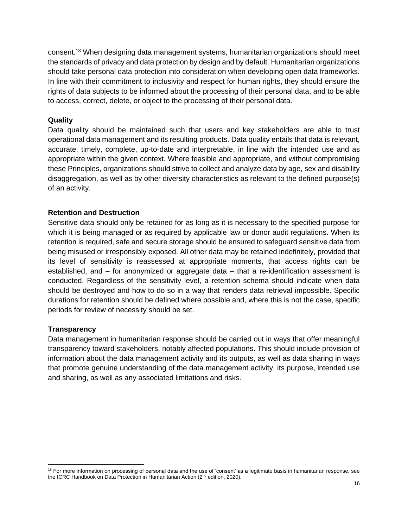consent.<sup>18</sup> When designing data management systems, humanitarian organizations should meet the standards of privacy and data protection by design and by default. Humanitarian organizations should take personal data protection into consideration when developing open data frameworks. In line with their commitment to inclusivity and respect for human rights, they should ensure the rights of data subjects to be informed about the processing of their personal data, and to be able to access, correct, delete, or object to the processing of their personal data.

#### **Quality**

Data quality should be maintained such that users and key stakeholders are able to trust operational data management and its resulting products. Data quality entails that data is relevant, accurate, timely, complete, up-to-date and interpretable, in line with the intended use and as appropriate within the given context. Where feasible and appropriate, and without compromising these Principles, organizations should strive to collect and analyze data by age, sex and disability disaggregation, as well as by other diversity characteristics as relevant to the defined purpose(s) of an activity.

#### **Retention and Destruction**

Sensitive data should only be retained for as long as it is necessary to the specified purpose for which it is being managed or as required by applicable law or donor audit regulations. When its retention is required, safe and secure storage should be ensured to safeguard sensitive data from being misused or irresponsibly exposed. All other data may be retained indefinitely, provided that its level of sensitivity is reassessed at appropriate moments, that access rights can be established, and – for anonymized or aggregate data – that a re-identification assessment is conducted. Regardless of the sensitivity level, a retention schema should indicate when data should be destroyed and how to do so in a way that renders data retrieval impossible. Specific durations for retention should be defined where possible and, where this is not the case, specific periods for review of necessity should be set.

#### **Transparency**

Data management in humanitarian response should be carried out in ways that offer meaningful transparency toward stakeholders, notably affected populations. This should include provision of information about the data management activity and its outputs, as well as data sharing in ways that promote genuine understanding of the data management activity, its purpose, intended use and sharing, as well as any associated limitations and risks.

<sup>&</sup>lt;sup>18</sup> For more information on processing of personal data and the use of 'consent' as a legitimate basis in humanitarian response, see the ICRC Handbook on Data Protection in Humanitarian Action (2<sup>nd</sup> edition, 2020).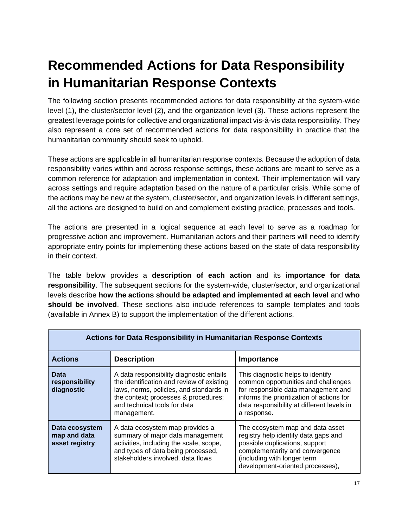# <span id="page-16-0"></span>**Recommended Actions for Data Responsibility in Humanitarian Response Contexts**

The following section presents recommended actions for data responsibility at the system-wide level (1), the cluster/sector level (2), and the organization level (3). These actions represent the greatest leverage points for collective and organizational impact vis-à-vis data responsibility. They also represent a core set of recommended actions for data responsibility in practice that the humanitarian community should seek to uphold.

These actions are applicable in all humanitarian response contexts. Because the adoption of data responsibility varies within and across response settings, these actions are meant to serve as a common reference for adaptation and implementation in context. Their implementation will vary across settings and require adaptation based on the nature of a particular crisis. While some of the actions may be new at the system, cluster/sector, and organization levels in different settings, all the actions are designed to build on and complement existing practice, processes and tools.

The actions are presented in a logical sequence at each level to serve as a roadmap for progressive action and improvement. Humanitarian actors and their partners will need to identify appropriate entry points for implementing these actions based on the state of data responsibility in their context.

The table below provides a **description of each action** and its **importance for data responsibility**. The subsequent sections for the system-wide, cluster/sector, and organizational levels describe **how the actions should be adapted and implemented at each level** and **who should be involved**. These sections also include references to sample templates and tools (available in Annex B) to support the implementation of the different actions.

| <b>Actions for Data Responsibility in Humanitarian Response Contexts</b> |                                                                                                                                                                                                                         |                                                                                                                                                                                                                           |
|--------------------------------------------------------------------------|-------------------------------------------------------------------------------------------------------------------------------------------------------------------------------------------------------------------------|---------------------------------------------------------------------------------------------------------------------------------------------------------------------------------------------------------------------------|
| <b>Actions</b>                                                           | <b>Description</b>                                                                                                                                                                                                      | Importance                                                                                                                                                                                                                |
| <b>Data</b><br>responsibility<br>diagnostic                              | A data responsibility diagnostic entails<br>the identification and review of existing<br>laws, norms, policies, and standards in<br>the context; processes & procedures;<br>and technical tools for data<br>management. | This diagnostic helps to identify<br>common opportunities and challenges<br>for responsible data management and<br>informs the prioritization of actions for<br>data responsibility at different levels in<br>a response. |
| Data ecosystem<br>map and data<br>asset registry                         | A data ecosystem map provides a<br>summary of major data management<br>activities, including the scale, scope,<br>and types of data being processed,<br>stakeholders involved, data flows                               | The ecosystem map and data asset<br>registry help identify data gaps and<br>possible duplications, support<br>complementarity and convergence<br>(including with longer term<br>development-oriented processes),          |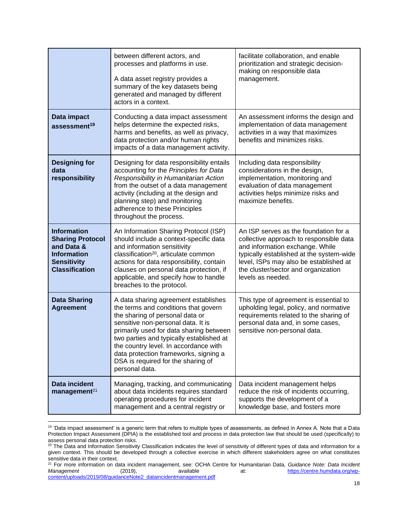|                                                                                                                                  | between different actors, and<br>processes and platforms in use.<br>A data asset registry provides a<br>summary of the key datasets being<br>generated and managed by different<br>actors in a context.                                                                                                                                                                                | facilitate collaboration, and enable<br>prioritization and strategic decision-<br>making on responsible data<br>management.                                                                                                                                           |
|----------------------------------------------------------------------------------------------------------------------------------|----------------------------------------------------------------------------------------------------------------------------------------------------------------------------------------------------------------------------------------------------------------------------------------------------------------------------------------------------------------------------------------|-----------------------------------------------------------------------------------------------------------------------------------------------------------------------------------------------------------------------------------------------------------------------|
| Data impact<br>assessment <sup>19</sup>                                                                                          | Conducting a data impact assessment<br>helps determine the expected risks,<br>harms and benefits, as well as privacy,<br>data protection and/or human rights<br>impacts of a data management activity.                                                                                                                                                                                 | An assessment informs the design and<br>implementation of data management<br>activities in a way that maximizes<br>benefits and minimizes risks.                                                                                                                      |
| <b>Designing for</b><br>data<br>responsibility                                                                                   | Designing for data responsibility entails<br>accounting for the Principles for Data<br>Responsibility in Humanitarian Action<br>from the outset of a data management<br>activity (including at the design and<br>planning step) and monitoring<br>adherence to these Principles<br>throughout the process.                                                                             | Including data responsibility<br>considerations in the design,<br>implementation, monitoring and<br>evaluation of data management<br>activities helps minimize risks and<br>maximize benefits.                                                                        |
| <b>Information</b><br><b>Sharing Protocol</b><br>and Data &<br><b>Information</b><br><b>Sensitivity</b><br><b>Classification</b> | An Information Sharing Protocol (ISP)<br>should include a context-specific data<br>and information sensitivity<br>classification <sup>20</sup> , articulate common<br>actions for data responsibility, contain<br>clauses on personal data protection, if<br>applicable, and specify how to handle<br>breaches to the protocol.                                                        | An ISP serves as the foundation for a<br>collective approach to responsible data<br>and information exchange. While<br>typically established at the system-wide<br>level, ISPs may also be established at<br>the cluster/sector and organization<br>levels as needed. |
| <b>Data Sharing</b><br><b>Agreement</b>                                                                                          | A data sharing agreement establishes<br>the terms and conditions that govern<br>the sharing of personal data or<br>sensitive non-personal data. It is<br>primarily used for data sharing between<br>two parties and typically established at<br>the country level. In accordance with<br>data protection frameworks, signing a<br>DSA is required for the sharing of<br>personal data. | This type of agreement is essential to<br>upholding legal, policy, and normative<br>requirements related to the sharing of<br>personal data and, in some cases,<br>sensitive non-personal data.                                                                       |
| <b>Data incident</b><br>management <sup>21</sup>                                                                                 | Managing, tracking, and communicating<br>about data incidents requires standard<br>operating procedures for incident<br>management and a central registry or                                                                                                                                                                                                                           | Data incident management helps<br>reduce the risk of incidents occurring,<br>supports the development of a<br>knowledge base, and fosters more                                                                                                                        |

<sup>19</sup> 'Data impact assessment' is a generic term that refers to multiple types of assessments, as defined in Annex A. Note that a Data Protection Impact Assessment (DPIA) is the established tool and process in data protection law that should be used (specifically) to assess personal data protection risks.

<sup>&</sup>lt;sup>20</sup> The Data and Information Sensitivity Classification indicates the level of sensitivity of different types of data and information for a given context. This should be developed through a collective exercise in which different stakeholders agree on what constitutes sensitive data in their context.

<sup>21</sup> For more information on data incident management, see: OCHA Centre for Humanitarian Data, *Guidance Note: Data Incident Management* (2019), available at: [https://centre.humdata.org/wp](https://centre.humdata.org/wp-content/uploads/2019/08/guidanceNote2_dataincidentmanagement.pdf)[content/uploads/2019/08/guidanceNote2\\_dataincidentmanagement.pdf](https://centre.humdata.org/wp-content/uploads/2019/08/guidanceNote2_dataincidentmanagement.pdf)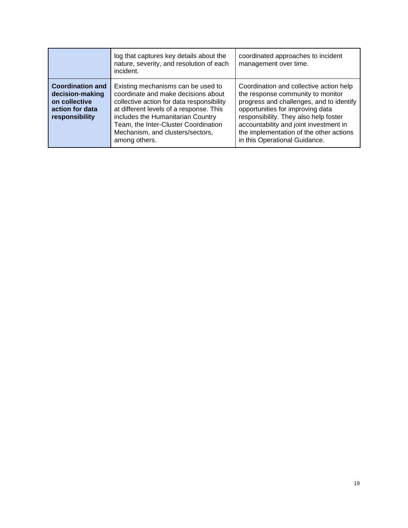|                                                                                                  | log that captures key details about the<br>nature, severity, and resolution of each<br>incident.                                                                                                                                                                                                    | coordinated approaches to incident<br>management over time.                                                                                                                                                                                                                                                                 |
|--------------------------------------------------------------------------------------------------|-----------------------------------------------------------------------------------------------------------------------------------------------------------------------------------------------------------------------------------------------------------------------------------------------------|-----------------------------------------------------------------------------------------------------------------------------------------------------------------------------------------------------------------------------------------------------------------------------------------------------------------------------|
| <b>Coordination and</b><br>decision-making<br>on collective<br>action for data<br>responsibility | Existing mechanisms can be used to<br>coordinate and make decisions about<br>collective action for data responsibility<br>at different levels of a response. This<br>includes the Humanitarian Country<br>Team, the Inter-Cluster Coordination<br>Mechanism, and clusters/sectors,<br>among others. | Coordination and collective action help<br>the response community to monitor<br>progress and challenges, and to identify<br>opportunities for improving data<br>responsibility. They also help foster<br>accountability and joint investment in<br>the implementation of the other actions<br>in this Operational Guidance. |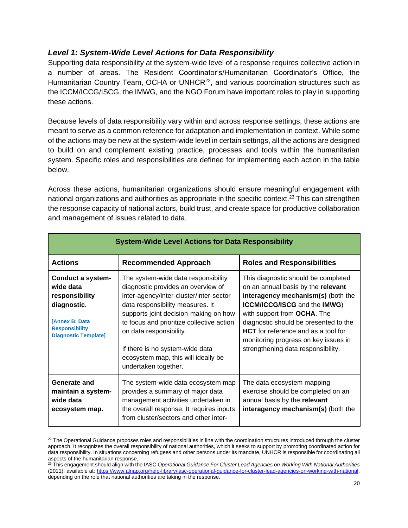#### <span id="page-19-0"></span>*Level 1: System-Wide Level Actions for Data Responsibility*

Supporting data responsibility at the system-wide level of a response requires collective action in a number of areas. The Resident Coordinator's/Humanitarian Coordinator's Office, the Humanitarian Country Team, OCHA or UNHCR<sup>22</sup>, and various coordination structures such as the ICCM/ICCG/ISCG, the IMWG, and the NGO Forum have important roles to play in supporting these actions.

Because levels of data responsibility vary within and across response settings, these actions are meant to serve as a common reference for adaptation and implementation in context. While some of the actions may be new at the system-wide level in certain settings, all the actions are designed to build on and complement existing practice, processes and tools within the humanitarian system. Specific roles and responsibilities are defined for implementing each action in the table below.

Across these actions, humanitarian organizations should ensure meaningful engagement with national organizations and authorities as appropriate in the specific context.<sup>23</sup> This can strengthen the response capacity of national actors, build trust, and create space for productive collaboration and management of issues related to data.

| <b>System-Wide Level Actions for Data Responsibility</b>                                                                                                |                                                                                                                                                                                                                                                                                                                                                                             |                                                                                                                                                                                                                                                                                                                                                            |
|---------------------------------------------------------------------------------------------------------------------------------------------------------|-----------------------------------------------------------------------------------------------------------------------------------------------------------------------------------------------------------------------------------------------------------------------------------------------------------------------------------------------------------------------------|------------------------------------------------------------------------------------------------------------------------------------------------------------------------------------------------------------------------------------------------------------------------------------------------------------------------------------------------------------|
| <b>Actions</b>                                                                                                                                          | <b>Recommended Approach</b>                                                                                                                                                                                                                                                                                                                                                 | <b>Roles and Responsibilities</b>                                                                                                                                                                                                                                                                                                                          |
| <b>Conduct a system-</b><br>wide data<br>responsibility<br>diagnostic.<br><b>[Annex B: Data</b><br><b>Responsibility</b><br><b>Diagnostic Template]</b> | The system-wide data responsibility<br>diagnostic provides an overview of<br>inter-agency/inter-cluster/inter-sector<br>data responsibility measures. It<br>supports joint decision-making on how<br>to focus and prioritize collective action<br>on data responsibility.<br>If there is no system-wide data<br>ecosystem map, this will ideally be<br>undertaken together. | This diagnostic should be completed<br>on an annual basis by the relevant<br>interagency mechanism(s) (both the<br><b>ICCM/ICCG/ISCG and the IMWG)</b><br>with support from OCHA. The<br>diagnostic should be presented to the<br><b>HCT</b> for reference and as a tool for<br>monitoring progress on key issues in<br>strengthening data responsibility. |
| Generate and<br>maintain a system-<br>wide data<br>ecosystem map.                                                                                       | The system-wide data ecosystem map<br>provides a summary of major data<br>management activities undertaken in<br>the overall response. It requires inputs<br>from cluster/sectors and other inter-                                                                                                                                                                          | The data ecosystem mapping<br>exercise should be completed on an<br>annual basis by the relevant<br>interagency mechanism(s) (both the                                                                                                                                                                                                                     |

 $22$  The Operational Guidance proposes roles and responsibilities in line with the coordination structures introduced through the cluster approach. It recognizes the overall responsibility of national authorities, which it seeks to support by promoting coordinated action for data responsibility. In situations concerning refugees and other persons under its mandate, UNHCR is responsible for coordinating all aspects of the humanitarian response.

<sup>23</sup> This engagement should align with the IASC *Operational Guidance For Cluster Lead Agencies on Working With National Authorities* (2011), available at: [https://www.alnap.org/help-library/iasc-operational-guidance-for-cluster-lead-agencies-on-working-with-national,](https://www.alnap.org/help-library/iasc-operational-guidance-for-cluster-lead-agencies-on-working-with-national) depending on the role that national authorities are taking in the response.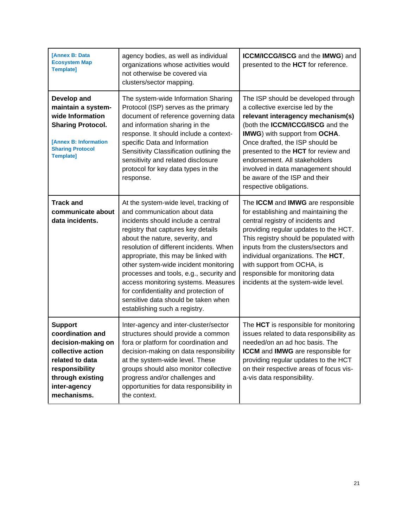| <b>[Annex B: Data</b><br><b>Ecosystem Map</b><br><b>Template]</b>                                                                                                     | agency bodies, as well as individual<br>organizations whose activities would<br>not otherwise be covered via<br>clusters/sector mapping.                                                                                                                                                                                                                                                                                                                                                                            | ICCM/ICCG/ISCG and the IMWG) and<br>presented to the HCT for reference.                                                                                                                                                                                                                                                                                                                        |
|-----------------------------------------------------------------------------------------------------------------------------------------------------------------------|---------------------------------------------------------------------------------------------------------------------------------------------------------------------------------------------------------------------------------------------------------------------------------------------------------------------------------------------------------------------------------------------------------------------------------------------------------------------------------------------------------------------|------------------------------------------------------------------------------------------------------------------------------------------------------------------------------------------------------------------------------------------------------------------------------------------------------------------------------------------------------------------------------------------------|
| Develop and<br>maintain a system-<br>wide Information<br><b>Sharing Protocol.</b><br>[Annex B: Information<br><b>Sharing Protocol</b><br><b>Template]</b>             | The system-wide Information Sharing<br>Protocol (ISP) serves as the primary<br>document of reference governing data<br>and information sharing in the<br>response. It should include a context-<br>specific Data and Information<br>Sensitivity Classification outlining the<br>sensitivity and related disclosure<br>protocol for key data types in the<br>response.                                                                                                                                               | The ISP should be developed through<br>a collective exercise led by the<br>relevant interagency mechanism(s)<br>(both the ICCM/ICCG/ISCG and the<br>IMWG) with support from OCHA.<br>Once drafted, the ISP should be<br>presented to the HCT for review and<br>endorsement. All stakeholders<br>involved in data management should<br>be aware of the ISP and their<br>respective obligations. |
| <b>Track and</b><br>communicate about<br>data incidents.                                                                                                              | At the system-wide level, tracking of<br>and communication about data<br>incidents should include a central<br>registry that captures key details<br>about the nature, severity, and<br>resolution of different incidents. When<br>appropriate, this may be linked with<br>other system-wide incident monitoring<br>processes and tools, e.g., security and<br>access monitoring systems. Measures<br>for confidentiality and protection of<br>sensitive data should be taken when<br>establishing such a registry. | The ICCM and IMWG are responsible<br>for establishing and maintaining the<br>central registry of incidents and<br>providing regular updates to the HCT.<br>This registry should be populated with<br>inputs from the clusters/sectors and<br>individual organizations. The HCT,<br>with support from OCHA, is<br>responsible for monitoring data<br>incidents at the system-wide level.        |
| <b>Support</b><br>coordination and<br>decision-making on<br>collective action<br>related to data<br>responsibility<br>through existing<br>inter-agency<br>mechanisms. | Inter-agency and inter-cluster/sector<br>structures should provide a common<br>fora or platform for coordination and<br>decision-making on data responsibility<br>at the system-wide level. These<br>groups should also monitor collective<br>progress and/or challenges and<br>opportunities for data responsibility in<br>the context.                                                                                                                                                                            | The HCT is responsible for monitoring<br>issues related to data responsibility as<br>needed/on an ad hoc basis. The<br><b>ICCM</b> and <b>IMWG</b> are responsible for<br>providing regular updates to the HCT<br>on their respective areas of focus vis-<br>a-vis data responsibility.                                                                                                        |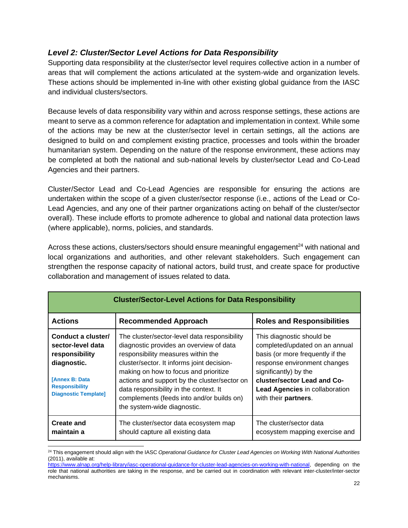#### <span id="page-21-0"></span>*Level 2: Cluster/Sector Level Actions for Data Responsibility*

Supporting data responsibility at the cluster/sector level requires collective action in a number of areas that will complement the actions articulated at the system-wide and organization levels. These actions should be implemented in-line with other existing global guidance from the IASC and individual clusters/sectors.

Because levels of data responsibility vary within and across response settings, these actions are meant to serve as a common reference for adaptation and implementation in context. While some of the actions may be new at the cluster/sector level in certain settings, all the actions are designed to build on and complement existing practice, processes and tools within the broader humanitarian system. Depending on the nature of the response environment, these actions may be completed at both the national and sub-national levels by cluster/sector Lead and Co-Lead Agencies and their partners.

Cluster/Sector Lead and Co-Lead Agencies are responsible for ensuring the actions are undertaken within the scope of a given cluster/sector response (i.e., actions of the Lead or Co-Lead Agencies, and any one of their partner organizations acting on behalf of the cluster/sector overall). These include efforts to promote adherence to global and national data protection laws (where applicable), norms, policies, and standards.

Across these actions, clusters/sectors should ensure meaningful engagement<sup>24</sup> with national and local organizations and authorities, and other relevant stakeholders. Such engagement can strengthen the response capacity of national actors, build trust, and create space for productive collaboration and management of issues related to data.

| <b>Cluster/Sector-Level Actions for Data Responsibility</b>                                                                                               |                                                                                                                                                                                                                                                                                                                                                                                            |                                                                                                                                                                                                                                                          |
|-----------------------------------------------------------------------------------------------------------------------------------------------------------|--------------------------------------------------------------------------------------------------------------------------------------------------------------------------------------------------------------------------------------------------------------------------------------------------------------------------------------------------------------------------------------------|----------------------------------------------------------------------------------------------------------------------------------------------------------------------------------------------------------------------------------------------------------|
| <b>Actions</b>                                                                                                                                            | <b>Recommended Approach</b>                                                                                                                                                                                                                                                                                                                                                                | <b>Roles and Responsibilities</b>                                                                                                                                                                                                                        |
| Conduct a cluster/<br>sector-level data<br>responsibility<br>diagnostic.<br><b>[Annex B: Data</b><br><b>Responsibility</b><br><b>Diagnostic Template]</b> | The cluster/sector-level data responsibility<br>diagnostic provides an overview of data<br>responsibility measures within the<br>cluster/sector. It informs joint decision-<br>making on how to focus and prioritize<br>actions and support by the cluster/sector on<br>data responsibility in the context. It<br>complements (feeds into and/or builds on)<br>the system-wide diagnostic. | This diagnostic should be<br>completed/updated on an annual<br>basis (or more frequently if the<br>response environment changes<br>significantly) by the<br>cluster/sector Lead and Co-<br><b>Lead Agencies in collaboration</b><br>with their partners. |
| <b>Create and</b><br>maintain a                                                                                                                           | The cluster/sector data ecosystem map<br>should capture all existing data                                                                                                                                                                                                                                                                                                                  | The cluster/sector data<br>ecosystem mapping exercise and                                                                                                                                                                                                |

<sup>24</sup> This engagement should align with the IASC *Operational Guidance for Cluster Lead Agencies on Working With National Authorities* (2011), available at:

[https://www.alnap.org/help-library/iasc-operational-guidance-for-cluster-lead-agencies-on-working-with-national,](https://www.alnap.org/help-library/iasc-operational-guidance-for-cluster-lead-agencies-on-working-with-national) depending on the role that national authorities are taking in the response, and be carried out in coordination with relevant inter-cluster/inter-sector mechanisms.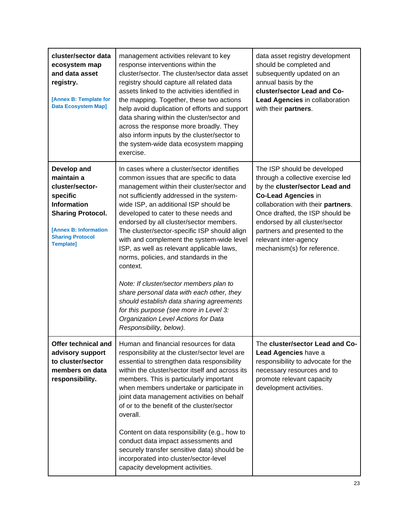| cluster/sector data<br>ecosystem map<br>and data asset<br>registry.<br>[Annex B: Template for<br><b>Data Ecosystem Map]</b>                                                        | management activities relevant to key<br>response interventions within the<br>cluster/sector. The cluster/sector data asset<br>registry should capture all related data<br>assets linked to the activities identified in<br>the mapping. Together, these two actions<br>help avoid duplication of efforts and support<br>data sharing within the cluster/sector and<br>across the response more broadly. They<br>also inform inputs by the cluster/sector to<br>the system-wide data ecosystem mapping<br>exercise.                                                                                                                                                                                                                                          | data asset registry development<br>should be completed and<br>subsequently updated on an<br>annual basis by the<br>cluster/sector Lead and Co-<br>Lead Agencies in collaboration<br>with their partners.                                                                                                                             |
|------------------------------------------------------------------------------------------------------------------------------------------------------------------------------------|--------------------------------------------------------------------------------------------------------------------------------------------------------------------------------------------------------------------------------------------------------------------------------------------------------------------------------------------------------------------------------------------------------------------------------------------------------------------------------------------------------------------------------------------------------------------------------------------------------------------------------------------------------------------------------------------------------------------------------------------------------------|--------------------------------------------------------------------------------------------------------------------------------------------------------------------------------------------------------------------------------------------------------------------------------------------------------------------------------------|
| Develop and<br>maintain a<br>cluster/sector-<br>specific<br><b>Information</b><br><b>Sharing Protocol.</b><br>[Annex B: Information<br><b>Sharing Protocol</b><br><b>Template]</b> | In cases where a cluster/sector identifies<br>common issues that are specific to data<br>management within their cluster/sector and<br>not sufficiently addressed in the system-<br>wide ISP, an additional ISP should be<br>developed to cater to these needs and<br>endorsed by all cluster/sector members.<br>The cluster/sector-specific ISP should align<br>with and complement the system-wide level<br>ISP, as well as relevant applicable laws,<br>norms, policies, and standards in the<br>context.<br>Note: If cluster/sector members plan to<br>share personal data with each other, they<br>should establish data sharing agreements<br>for this purpose (see more in Level 3:<br>Organization Level Actions for Data<br>Responsibility, below). | The ISP should be developed<br>through a collective exercise led<br>by the cluster/sector Lead and<br><b>Co-Lead Agencies in</b><br>collaboration with their partners.<br>Once drafted, the ISP should be<br>endorsed by all cluster/sector<br>partners and presented to the<br>relevant inter-agency<br>mechanism(s) for reference. |
| Offer technical and<br>advisory support<br>to cluster/sector<br>members on data<br>responsibility.                                                                                 | Human and financial resources for data<br>responsibility at the cluster/sector level are<br>essential to strengthen data responsibility<br>within the cluster/sector itself and across its<br>members. This is particularly important<br>when members undertake or participate in<br>joint data management activities on behalf<br>of or to the benefit of the cluster/sector<br>overall.<br>Content on data responsibility (e.g., how to<br>conduct data impact assessments and<br>securely transfer sensitive data) should be<br>incorporated into cluster/sector-level<br>capacity development activities.                                                                                                                                                | The cluster/sector Lead and Co-<br>Lead Agencies have a<br>responsibility to advocate for the<br>necessary resources and to<br>promote relevant capacity<br>development activities.                                                                                                                                                  |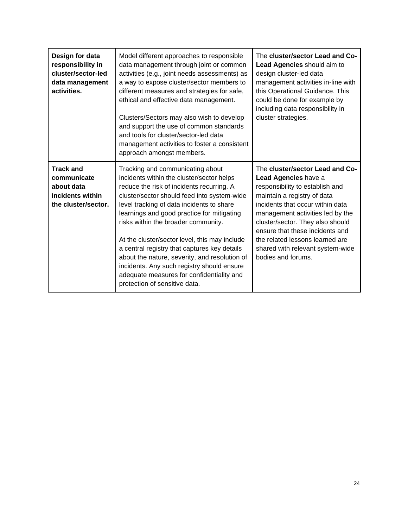| Design for data<br>responsibility in<br>cluster/sector-led<br>data management<br>activities. | Model different approaches to responsible<br>data management through joint or common<br>activities (e.g., joint needs assessments) as<br>a way to expose cluster/sector members to<br>different measures and strategies for safe,<br>ethical and effective data management.<br>Clusters/Sectors may also wish to develop<br>and support the use of common standards<br>and tools for cluster/sector-led data<br>management activities to foster a consistent<br>approach amongst members.                                                                                                 | The cluster/sector Lead and Co-<br>Lead Agencies should aim to<br>design cluster-led data<br>management activities in-line with<br>this Operational Guidance. This<br>could be done for example by<br>including data responsibility in<br>cluster strategies.                                                                                                         |
|----------------------------------------------------------------------------------------------|-------------------------------------------------------------------------------------------------------------------------------------------------------------------------------------------------------------------------------------------------------------------------------------------------------------------------------------------------------------------------------------------------------------------------------------------------------------------------------------------------------------------------------------------------------------------------------------------|-----------------------------------------------------------------------------------------------------------------------------------------------------------------------------------------------------------------------------------------------------------------------------------------------------------------------------------------------------------------------|
| <b>Track and</b><br>communicate<br>about data<br>incidents within<br>the cluster/sector.     | Tracking and communicating about<br>incidents within the cluster/sector helps<br>reduce the risk of incidents recurring. A<br>cluster/sector should feed into system-wide<br>level tracking of data incidents to share<br>learnings and good practice for mitigating<br>risks within the broader community.<br>At the cluster/sector level, this may include<br>a central registry that captures key details<br>about the nature, severity, and resolution of<br>incidents. Any such registry should ensure<br>adequate measures for confidentiality and<br>protection of sensitive data. | The cluster/sector Lead and Co-<br>Lead Agencies have a<br>responsibility to establish and<br>maintain a registry of data<br>incidents that occur within data<br>management activities led by the<br>cluster/sector. They also should<br>ensure that these incidents and<br>the related lessons learned are<br>shared with relevant system-wide<br>bodies and forums. |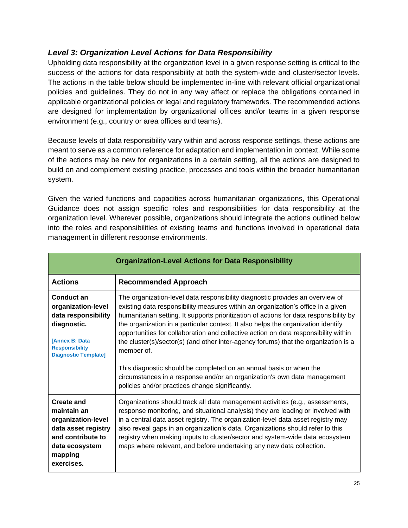#### <span id="page-24-0"></span>*Level 3: Organization Level Actions for Data Responsibility*

Upholding data responsibility at the organization level in a given response setting is critical to the success of the actions for data responsibility at both the system-wide and cluster/sector levels. The actions in the table below should be implemented in-line with relevant official organizational policies and guidelines. They do not in any way affect or replace the obligations contained in applicable organizational policies or legal and regulatory frameworks. The recommended actions are designed for implementation by organizational offices and/or teams in a given response environment (e.g., country or area offices and teams).

Because levels of data responsibility vary within and across response settings, these actions are meant to serve as a common reference for adaptation and implementation in context. While some of the actions may be new for organizations in a certain setting, all the actions are designed to build on and complement existing practice, processes and tools within the broader humanitarian system.

Given the varied functions and capacities across humanitarian organizations, this Operational Guidance does not assign specific roles and responsibilities for data responsibility at the organization level. Wherever possible, organizations should integrate the actions outlined below into the roles and responsibilities of existing teams and functions involved in operational data management in different response environments.

| <b>Organization-Level Actions for Data Responsibility</b>                                                                                               |                                                                                                                                                                                                                                                                                                                                                                                                                                                                                                                                                                                                                                                                                                                                                   |
|---------------------------------------------------------------------------------------------------------------------------------------------------------|---------------------------------------------------------------------------------------------------------------------------------------------------------------------------------------------------------------------------------------------------------------------------------------------------------------------------------------------------------------------------------------------------------------------------------------------------------------------------------------------------------------------------------------------------------------------------------------------------------------------------------------------------------------------------------------------------------------------------------------------------|
| <b>Actions</b>                                                                                                                                          | <b>Recommended Approach</b>                                                                                                                                                                                                                                                                                                                                                                                                                                                                                                                                                                                                                                                                                                                       |
| Conduct an<br>organization-level<br>data responsibility<br>diagnostic.<br><b>IAnnex B: Data</b><br><b>Responsibility</b><br><b>Diagnostic Template]</b> | The organization-level data responsibility diagnostic provides an overview of<br>existing data responsibility measures within an organization's office in a given<br>humanitarian setting. It supports prioritization of actions for data responsibility by<br>the organization in a particular context. It also helps the organization identify<br>opportunities for collaboration and collective action on data responsibility within<br>the cluster(s)/sector(s) (and other inter-agency forums) that the organization is a<br>member of.<br>This diagnostic should be completed on an annual basis or when the<br>circumstances in a response and/or an organization's own data management<br>policies and/or practices change significantly. |
| <b>Create and</b><br>maintain an<br>organization-level<br>data asset registry<br>and contribute to<br>data ecosystem<br>mapping<br>exercises.           | Organizations should track all data management activities (e.g., assessments,<br>response monitoring, and situational analysis) they are leading or involved with<br>in a central data asset registry. The organization-level data asset registry may<br>also reveal gaps in an organization's data. Organizations should refer to this<br>registry when making inputs to cluster/sector and system-wide data ecosystem<br>maps where relevant, and before undertaking any new data collection.                                                                                                                                                                                                                                                   |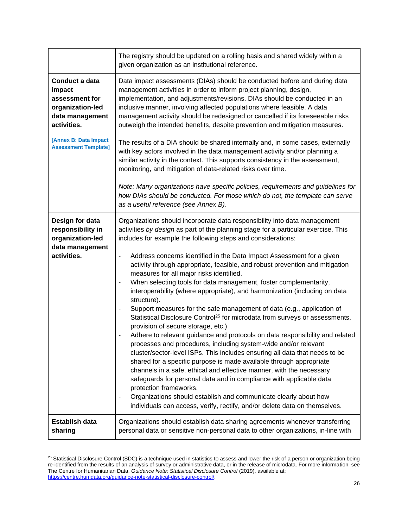|                                                                                                                                                          | The registry should be updated on a rolling basis and shared widely within a<br>given organization as an institutional reference.                                                                                                                                                                                                                                                                                                                                                                                                                                                                                                                                                                                                                                                                                                                                                                                                                                                                                                                                                                                                                                                                                                                                                                                                                                                                                                                                    |
|----------------------------------------------------------------------------------------------------------------------------------------------------------|----------------------------------------------------------------------------------------------------------------------------------------------------------------------------------------------------------------------------------------------------------------------------------------------------------------------------------------------------------------------------------------------------------------------------------------------------------------------------------------------------------------------------------------------------------------------------------------------------------------------------------------------------------------------------------------------------------------------------------------------------------------------------------------------------------------------------------------------------------------------------------------------------------------------------------------------------------------------------------------------------------------------------------------------------------------------------------------------------------------------------------------------------------------------------------------------------------------------------------------------------------------------------------------------------------------------------------------------------------------------------------------------------------------------------------------------------------------------|
| Conduct a data<br>impact<br>assessment for<br>organization-led<br>data management<br>activities.<br>[Annex B: Data Impact<br><b>Assessment Template]</b> | Data impact assessments (DIAs) should be conducted before and during data<br>management activities in order to inform project planning, design,<br>implementation, and adjustments/revisions. DIAs should be conducted in an<br>inclusive manner, involving affected populations where feasible. A data<br>management activity should be redesigned or cancelled if its foreseeable risks<br>outweigh the intended benefits, despite prevention and mitigation measures.<br>The results of a DIA should be shared internally and, in some cases, externally<br>with key actors involved in the data management activity and/or planning a<br>similar activity in the context. This supports consistency in the assessment,<br>monitoring, and mitigation of data-related risks over time.<br>Note: Many organizations have specific policies, requirements and guidelines for<br>how DIAs should be conducted. For those which do not, the template can serve<br>as a useful reference (see Annex B).                                                                                                                                                                                                                                                                                                                                                                                                                                                                |
| Design for data<br>responsibility in<br>organization-led<br>data management<br>activities.                                                               | Organizations should incorporate data responsibility into data management<br>activities by design as part of the planning stage for a particular exercise. This<br>includes for example the following steps and considerations:<br>Address concerns identified in the Data Impact Assessment for a given<br>-<br>activity through appropriate, feasible, and robust prevention and mitigation<br>measures for all major risks identified.<br>When selecting tools for data management, foster complementarity,<br>interoperability (where appropriate), and harmonization (including on data<br>structure).<br>Support measures for the safe management of data (e.g., application of<br>-<br>Statistical Disclosure Control <sup>25</sup> for microdata from surveys or assessments,<br>provision of secure storage, etc.)<br>Adhere to relevant guidance and protocols on data responsibility and related<br>processes and procedures, including system-wide and/or relevant<br>cluster/sector-level ISPs. This includes ensuring all data that needs to be<br>shared for a specific purpose is made available through appropriate<br>channels in a safe, ethical and effective manner, with the necessary<br>safeguards for personal data and in compliance with applicable data<br>protection frameworks.<br>Organizations should establish and communicate clearly about how<br>-<br>individuals can access, verify, rectify, and/or delete data on themselves. |
| <b>Establish data</b><br>sharing                                                                                                                         | Organizations should establish data sharing agreements whenever transferring<br>personal data or sensitive non-personal data to other organizations, in-line with                                                                                                                                                                                                                                                                                                                                                                                                                                                                                                                                                                                                                                                                                                                                                                                                                                                                                                                                                                                                                                                                                                                                                                                                                                                                                                    |

 $^{25}$  Statistical Disclosure Control (SDC) is a technique used in statistics to assess and lower the risk of a person or organization being re-identified from the results of an analysis of survey or administrative data, or in the release of microdata. For more information, see The Centre for Humanitarian Data, *Guidance Note: Statistical Disclosure Control* (2019), available at: [https://centre.humdata.org/guidance-note-statistical-disclosure-control/.](https://centre.humdata.org/guidance-note-statistical-disclosure-control/)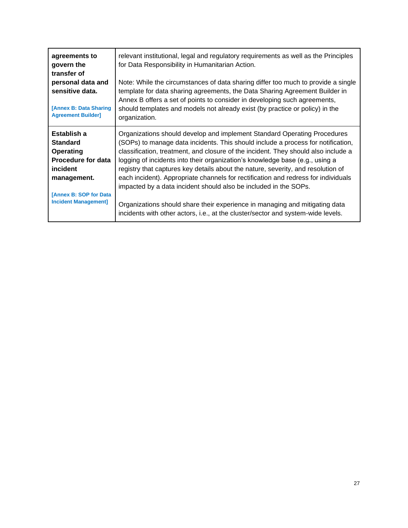| agreements to                                                                                                                                                        | relevant institutional, legal and regulatory requirements as well as the Principles                                                                                                                                                                                                                                                                                                                                                                                                                                                                                                                                                                                                                                                                 |
|----------------------------------------------------------------------------------------------------------------------------------------------------------------------|-----------------------------------------------------------------------------------------------------------------------------------------------------------------------------------------------------------------------------------------------------------------------------------------------------------------------------------------------------------------------------------------------------------------------------------------------------------------------------------------------------------------------------------------------------------------------------------------------------------------------------------------------------------------------------------------------------------------------------------------------------|
| govern the                                                                                                                                                           | for Data Responsibility in Humanitarian Action.                                                                                                                                                                                                                                                                                                                                                                                                                                                                                                                                                                                                                                                                                                     |
| transfer of                                                                                                                                                          | Note: While the circumstances of data sharing differ too much to provide a single                                                                                                                                                                                                                                                                                                                                                                                                                                                                                                                                                                                                                                                                   |
| personal data and                                                                                                                                                    | template for data sharing agreements, the Data Sharing Agreement Builder in                                                                                                                                                                                                                                                                                                                                                                                                                                                                                                                                                                                                                                                                         |
| sensitive data.                                                                                                                                                      | Annex B offers a set of points to consider in developing such agreements,                                                                                                                                                                                                                                                                                                                                                                                                                                                                                                                                                                                                                                                                           |
| [Annex B: Data Sharing]                                                                                                                                              | should templates and models not already exist (by practice or policy) in the                                                                                                                                                                                                                                                                                                                                                                                                                                                                                                                                                                                                                                                                        |
| <b>Agreement Builder]</b>                                                                                                                                            | organization.                                                                                                                                                                                                                                                                                                                                                                                                                                                                                                                                                                                                                                                                                                                                       |
| Establish a<br><b>Standard</b><br>Operating<br><b>Procedure for data</b><br>incident<br>management.<br><b>[Annex B: SOP for Data]</b><br><b>Incident Management]</b> | Organizations should develop and implement Standard Operating Procedures<br>(SOPs) to manage data incidents. This should include a process for notification,<br>classification, treatment, and closure of the incident. They should also include a<br>logging of incidents into their organization's knowledge base (e.g., using a<br>registry that captures key details about the nature, severity, and resolution of<br>each incident). Appropriate channels for rectification and redress for individuals<br>impacted by a data incident should also be included in the SOPs.<br>Organizations should share their experience in managing and mitigating data<br>incidents with other actors, i.e., at the cluster/sector and system-wide levels. |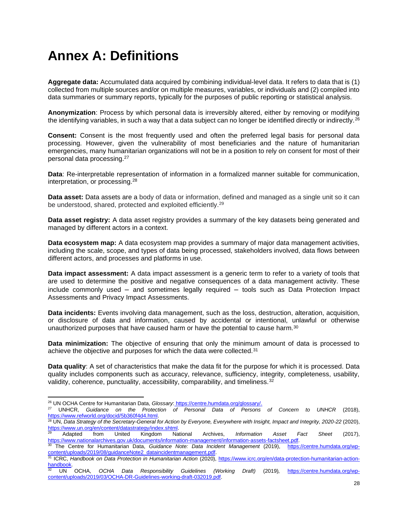### <span id="page-27-0"></span>**Annex A: Definitions**

**Aggregate data:** Accumulated data acquired by combining individual-level data. It refers to data that is (1) collected from multiple sources and/or on multiple measures, variables, or individuals and (2) compiled into data summaries or summary reports, typically for the purposes of public reporting or statistical analysis.

**Anonymization**: Process by which personal data is irreversibly altered, either by removing or modifying the identifying variables, in such a way that a data subject can no longer be identified directly or indirectly.<sup>26</sup>

**Consent:** Consent is the most frequently used and often the preferred legal basis for personal data processing. However, given the vulnerability of most beneficiaries and the nature of humanitarian emergencies, many humanitarian organizations will not be in a position to rely on consent for most of their personal data processing.<sup>27</sup>

**Data**: Re-interpretable representation of information in a formalized manner suitable for communication, interpretation, or processing.<sup>28</sup>

**Data asset:** Data assets are a body of data or information, defined and managed as a single unit so it can be understood, shared, protected and exploited efficiently.<sup>29</sup>

**Data asset registry:** A data asset registry provides a summary of the key datasets being generated and managed by different actors in a context.

**Data ecosystem map:** A data ecosystem map provides a summary of major data management activities, including the scale, scope, and types of data being processed, stakeholders involved, data flows between different actors, and processes and platforms in use.

**Data impact assessment:** A data impact assessment is a generic term to refer to a variety of tools that are used to determine the positive and negative consequences of a data management activity. These include commonly used – and sometimes legally required – tools such as Data Protection Impact Assessments and Privacy Impact Assessments.

**Data incidents:** Events involving data management, such as the loss, destruction, alteration, acquisition, or disclosure of data and information, caused by accidental or intentional, unlawful or otherwise unauthorized purposes that have caused harm or have the potential to cause harm.<sup>30</sup>

**Data minimization:** The objective of ensuring that only the minimum amount of data is processed to achieve the objective and purposes for which the data were collected.<sup>31</sup>

**Data quality**: A set of characteristics that make the data fit for the purpose for which it is processed. Data quality includes components such as accuracy, relevance, sufficiency, integrity, completeness, usability, validity, coherence, punctuality, accessibility, comparability, and timeliness.<sup>32</sup>

<sup>26</sup> UN OCHA Centre for Humanitarian Data, *Glossary*: [https://centre.humdata.org/glossary/.](https://centre.humdata.org/glossary/)

<sup>27</sup> UNHCR, *Guidance on the Protection of Personal Data of Persons of Concern to UNHCR* (2018), [https://www.refworld.org/docid/5b360f4d4.html.](https://www.refworld.org/docid/5b360f4d4.html) 

<sup>28</sup> UN, *Data Strategy of the Secretary-General for Action by Everyone, Everywhere with Insight, Impact and Integrity, 2020-22* (2020), [https://www.un.org/en/content/datastrategy/index.shtml.](https://www.un.org/en/content/datastrategy/index.shtml)

<sup>29</sup> Adapted from United Kingdom National Archives, *Information Asset Fact Sheet* (2017), [https://www.nationalarchives.gov.uk/documents/information-management/information-assets-factsheet.pdf.](https://www.nationalarchives.gov.uk/documents/information-management/information-assets-factsheet.pdf)

<sup>30</sup> The Centre for Humanitarian Data, *Guidance Note: Data Incident Management* (2019), [https://centre.humdata.org/wp](https://centre.humdata.org/wp-content/uploads/2019/08/guidanceNote2_dataincidentmanagement.pdf)[content/uploads/2019/08/guidanceNote2\\_dataincidentmanagement.pdf.](https://centre.humdata.org/wp-content/uploads/2019/08/guidanceNote2_dataincidentmanagement.pdf) <sup>31</sup> ICRC, *Handbook on Data Protection in Humanitarian Action* (2020), [https://www.icrc.org/en/data-protection-humanitarian-action-](https://www.icrc.org/en/data-protection-humanitarian-action-handbook)

[handbook.](https://www.icrc.org/en/data-protection-humanitarian-action-handbook) <sup>32</sup> UN OCHA, *OCHA Data Responsibility Guidelines (Working Draft)* (2019)*,* [https://centre.humdata.org/wp](https://centre.humdata.org/wp-content/uploads/2019/03/OCHA-DR-Guidelines-working-draft-032019.pdf)[content/uploads/2019/03/OCHA-DR-Guidelines-working-draft-032019.pdf.](https://centre.humdata.org/wp-content/uploads/2019/03/OCHA-DR-Guidelines-working-draft-032019.pdf)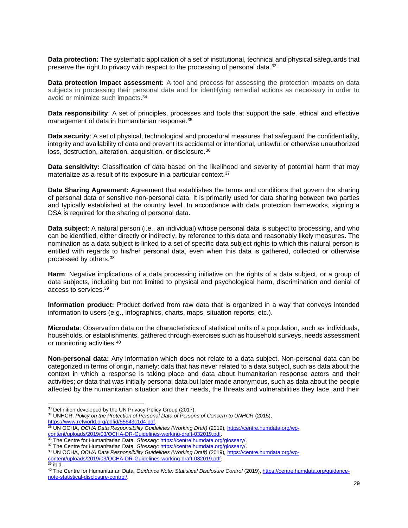**Data protection:** The systematic application of a set of institutional, technical and physical safeguards that preserve the right to privacy with respect to the processing of personal data.<sup>33</sup>

**Data protection impact assessment:** A tool and process for assessing the protection impacts on data subjects in processing their personal data and for identifying remedial actions as necessary in order to avoid or minimize such impacts.<sup>34</sup>

**Data responsibility**: A set of principles, processes and tools that support the safe, ethical and effective management of data in humanitarian response.<sup>35</sup>

**Data security**: A set of physical, technological and procedural measures that safeguard the confidentiality, integrity and availability of data and prevent its accidental or intentional, unlawful or otherwise unauthorized loss, destruction, alteration, acquisition, or disclosure.<sup>36</sup>

**Data sensitivity:** Classification of data based on the likelihood and severity of potential harm that may materialize as a result of its exposure in a particular context.<sup>37</sup>

**Data Sharing Agreement:** Agreement that establishes the terms and conditions that govern the sharing of personal data or sensitive non-personal data. It is primarily used for data sharing between two parties and typically established at the country level. In accordance with data protection frameworks, signing a DSA is required for the sharing of personal data.

**Data subject**: A natural person (i.e., an individual) whose personal data is subject to processing, and who can be identified, either directly or indirectly, by reference to this data and reasonably likely measures. The nomination as a data subject is linked to a set of specific data subject rights to which this natural person is entitled with regards to his/her personal data, even when this data is gathered, collected or otherwise processed by others.<sup>38</sup>

**Harm**: Negative implications of a data processing initiative on the rights of a data subject, or a group of data subjects, including but not limited to physical and psychological harm, discrimination and denial of access to services.<sup>39</sup>

**Information product:** Product derived from raw data that is organized in a way that conveys intended information to users (e.g., infographics, charts, maps, situation reports, etc.).

**Microdata**: Observation data on the characteristics of statistical units of a population, such as individuals, households, or establishments, gathered through exercises such as household surveys, needs assessment or monitoring activities.<sup>40</sup>

**Non-personal data:** Any information which does not relate to a data subject. Non-personal data can be categorized in terms of origin, namely: data that has never related to a data subject, such as data about the context in which a response is taking place and data about humanitarian response actors and their activities; *or* data that was initially personal data but later made anonymous, such as data about the people affected by the humanitarian situation and their needs, the threats and vulnerabilities they face, and their

<sup>&</sup>lt;sup>33</sup> Definition developed by the UN Privacy Policy Group (2017).

<sup>34</sup> UNHCR, *Policy on the Protection of Personal Data of Persons of Concern to UNHCR* (2015), [https://www.refworld.org/pdfid/55643c1d4.pdf.](https://www.refworld.org/pdfid/55643c1d4.pdf) 

<sup>35</sup> UN OCHA, *OCHA Data Responsibility Guidelines (Working Draft)* (2019), [https://centre.humdata.org/wp](https://centre.humdata.org/wp-content/uploads/2019/03/OCHA-DR-Guidelines-working-draft-032019.pdf)[content/uploads/2019/03/OCHA-DR-Guidelines-working-draft-032019.pdf.](https://centre.humdata.org/wp-content/uploads/2019/03/OCHA-DR-Guidelines-working-draft-032019.pdf)

<sup>36</sup> The Centre for Humanitarian Data. *Glossary*[: https://centre.humdata.org/glossary/.](https://centre.humdata.org/glossary/) 

<sup>&</sup>lt;sup>37</sup> The Centre for Humanitarian Data. *Glossary*[: https://centre.humdata.org/glossary/.](https://centre.humdata.org/glossary/)

<sup>38</sup> UN OCHA, *OCHA Data Responsibility Guidelines (Working Draft)* (2019)*,* [https://centre.humdata.org/wp](https://centre.humdata.org/wp-content/uploads/2019/03/OCHA-DR-Guidelines-working-draft-032019.pdf)[content/uploads/2019/03/OCHA-DR-Guidelines-working-draft-032019.pdf.](https://centre.humdata.org/wp-content/uploads/2019/03/OCHA-DR-Guidelines-working-draft-032019.pdf) <sup>39</sup> ibid.

<sup>&</sup>lt;sup>40</sup> The Centre for Humanitarian Data, *Guidance Note: Statistical Disclosure Control* (2019)[, https://centre.humdata.org/guidance](https://centre.humdata.org/guidance-note-statistical-disclosure-control/)[note-statistical-disclosure-control/.](https://centre.humdata.org/guidance-note-statistical-disclosure-control/)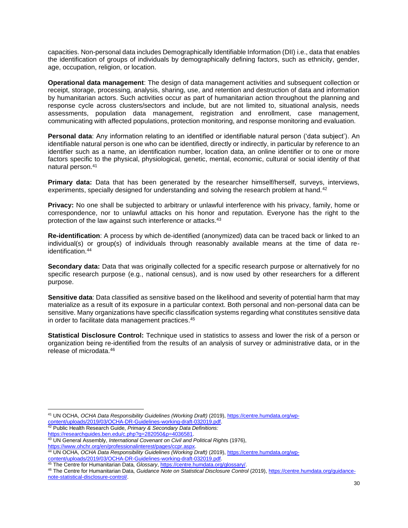capacities. Non-personal data includes Demographically Identifiable Information (DII) i.e., data that enables the identification of groups of individuals by demographically defining factors, such as ethnicity, gender, age, occupation, religion, or location.

**Operational data management**: The design of data management activities and subsequent collection or receipt, storage, processing, analysis, sharing, use, and retention and destruction of data and information by humanitarian actors. Such activities occur as part of humanitarian action throughout the planning and response cycle across clusters/sectors and include, but are not limited to, situational analysis, needs assessments, population data management, registration and enrollment, case management, communicating with affected populations, protection monitoring, and response monitoring and evaluation.

**Personal data**: Any information relating to an identified or identifiable natural person ('data subject'). An identifiable natural person is one who can be identified, directly or indirectly, in particular by reference to an identifier such as a name, an identification number, location data, an online identifier or to one or more factors specific to the physical, physiological, genetic, mental, economic, cultural or social identity of that natural person.<sup>41</sup>

**Primary data:** Data that has been generated by the researcher himself/herself, surveys, interviews, experiments, specially designed for understanding and solving the research problem at hand.<sup>42</sup>

**Privacy:** No one shall be subjected to arbitrary or unlawful interference with his privacy, family, home or correspondence, nor to unlawful attacks on his honor and reputation. Everyone has the right to the protection of the law against such interference or attacks.<sup>43</sup>

**Re-identification**: A process by which de-identified (anonymized) data can be traced back or linked to an individual(s) or group(s) of individuals through reasonably available means at the time of data reidentification.<sup>44</sup>

**Secondary data:** Data that was originally collected for a specific research purpose or alternatively for no specific research purpose (e.g., national census), and is now used by other researchers for a different purpose.

**Sensitive data**: Data classified as sensitive based on the likelihood and severity of potential harm that may materialize as a result of its exposure in a particular context. Both personal and non-personal data can be sensitive. Many organizations have specific classification systems regarding what constitutes sensitive data in order to facilitate data management practices. 45

**Statistical Disclosure Control:** Technique used in statistics to assess and lower the risk of a person or organization being re-identified from the results of an analysis of survey or administrative data, or in the release of microdata 46

<sup>42</sup> Public Health Research Guide, *Primary & Secondary Data Definitions:* [https://researchguides.ben.edu/c.php?g=282050&p=4036581.](https://researchguides.ben.edu/c.php?g=282050&p=4036581)

<sup>41</sup> UN OCHA, *OCHA Data Responsibility Guidelines (Working Draft)* (2019), [https://centre.humdata.org/wp](https://centre.humdata.org/wp-content/uploads/2019/03/OCHA-DR-Guidelines-working-draft-032019.pdf)[content/uploads/2019/03/OCHA-DR-Guidelines-working-draft-032019.pdf.](https://centre.humdata.org/wp-content/uploads/2019/03/OCHA-DR-Guidelines-working-draft-032019.pdf) 

<sup>43</sup> UN General Assembly, *International Covenant on Civil and Political Right*s (1976), [https://www.ohchr.org/en/professionalinterest/pages/ccpr.aspx.](https://www.ohchr.org/en/professionalinterest/pages/ccpr.aspx)

<sup>44</sup> UN OCHA, *OCHA Data Responsibility Guidelines (Working Draft)* (2019), [https://centre.humdata.org/wp](https://centre.humdata.org/wp-content/uploads/2019/03/OCHA-DR-Guidelines-working-draft-032019.pdf)[content/uploads/2019/03/OCHA-DR-Guidelines-working-draft-032019.pdf.](https://centre.humdata.org/wp-content/uploads/2019/03/OCHA-DR-Guidelines-working-draft-032019.pdf) 

<sup>45</sup> The Centre for Humanitarian Data, *Glossary*[, https://centre.humdata.org/glossary/.](https://centre.humdata.org/glossary/)

<sup>46</sup> The Centre for Humanitarian Data, *Guidance Note on Statistical Disclosure Control* (2019), [https://centre.humdata.org/guidance](https://centre.humdata.org/guidance-note-statistical-disclosure-control/)[note-statistical-disclosure-control/.](https://centre.humdata.org/guidance-note-statistical-disclosure-control/)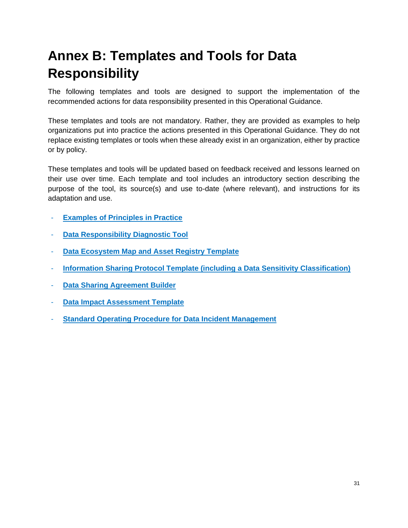# <span id="page-30-0"></span>**Annex B: Templates and Tools for Data Responsibility**

The following templates and tools are designed to support the implementation of the recommended actions for data responsibility presented in this Operational Guidance.

These templates and tools are not mandatory. Rather, they are provided as examples to help organizations put into practice the actions presented in this Operational Guidance. They do not replace existing templates or tools when these already exist in an organization, either by practice or by policy.

These templates and tools will be updated based on feedback received and lessons learned on their use over time. Each template and tool includes an introductory section describing the purpose of the tool, its source(s) and use to-date (where relevant), and instructions for its adaptation and use.

- **[Examples of Principles in Practice](https://docs.google.com/document/d/1f5zOBLaL8mlitmOZBiLTnsVQCqyh5XnqJXt_WHooDXs/edit)**
- **[Data Responsibility Diagnostic Tool](https://docs.google.com/document/d/1v4FLb8UpqTs0AgTMk_-Tp9DFmp69VhsIrgOv9jW55Wg/edit)**
- **[Data Ecosystem Map and Asset Registry Template](https://docs.google.com/document/d/1b5gZ15IduAvOdLxkNelvbkHWAKH--9Jdd-ZobAfbzpw/edit)**
- **[Information Sharing Protocol Template \(including a Data Sensitivity Classification\)](https://docs.google.com/document/d/1-deS1mG1lT_bm-9mcFNjp5Z31zlca0mNN2Y4FAw6rEQ/edit)**
- **[Data Sharing Agreement Builder](https://docs.google.com/document/d/181ZPpRrFljkP8VrX3e-hhfoAVwzLDnGgOKhCy5IYVB4/edit)**
- **[Data Impact Assessment Template](https://docs.google.com/document/d/17yIb673hiVL8QS30c74ASjblycNYDJKTFYwsIfR0dCg/edit)**
- **[Standard Operating Procedure for Data Incident Management](https://docs.google.com/document/d/1zBjychEQg1HZAB6tYihZXsb28zNmQMHMV5RJhajBVl4/edit)**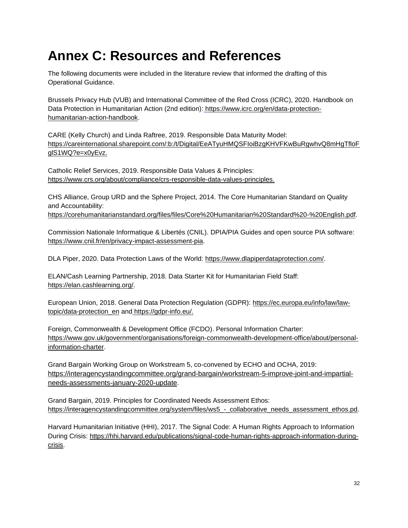### <span id="page-31-0"></span>**Annex C: Resources and References**

The following documents were included in the literature review that informed the drafting of this Operational Guidance.

Brussels Privacy Hub (VUB) and International Committee of the Red Cross (ICRC), 2020. Handbook on Data Protection in Humanitarian Action (2nd edition)[:](file:///C:/Users/scampo_ocha/Downloads/) [https://www.icrc.org/en/data-protection](https://www.icrc.org/en/data-protection-humanitarian-action-handbook)[humanitarian-action-handbook.](https://www.icrc.org/en/data-protection-humanitarian-action-handbook)

CARE (Kelly Church) and Linda Raftree, 2019. Responsible Data Maturity Model[:](https://careinternational.sharepoint.com/:b:/t/Digital/EeATyuHMQSFIoiBzgKHVFKwBuRgwhvQ8mHgTfloFglS1WQ?e=x0yEvz) [https://careinternational.sharepoint.com/:b:/t/Digital/EeATyuHMQSFIoiBzgKHVFKwBuRgwhvQ8mHgTfloF](https://careinternational.sharepoint.com/:b:/t/Digital/EeATyuHMQSFIoiBzgKHVFKwBuRgwhvQ8mHgTfloFglS1WQ?e=x0yEvz) [glS1WQ?e=x0yEvz.](https://careinternational.sharepoint.com/:b:/t/Digital/EeATyuHMQSFIoiBzgKHVFKwBuRgwhvQ8mHgTfloFglS1WQ?e=x0yEvz)

Catholic Relief Services, 2019. Responsible Data Values & Principles: [https://www.crs.org/about/compliance/crs-responsible-data-values-principles.](https://www.crs.org/about/compliance/crs-responsible-data-values-principles)

CHS Alliance, Group URD and the Sphere Project, 2014. The Core Humanitarian Standard on Quality and Accountability[:](https://corehumanitarianstandard.org/files/files/Core%20Humanitarian%20Standard%20-%20English.pdf)

[https://corehumanitarianstandard.org/files/files/Core%20Humanitarian%20Standard%20-%20English.pdf.](https://corehumanitarianstandard.org/files/files/Core%20Humanitarian%20Standard%20-%20English.pdf)

Commission Nationale Informatique & Libertés (CNIL). DPIA/PIA Guides and open source PIA software[:](https://www.cnil.fr/en/privacy-impact-assessment-pia) [https://www.cnil.fr/en/privacy-impact-assessment-pia.](https://www.cnil.fr/en/privacy-impact-assessment-pia)

DLA Piper, 2020. Data Protection Laws of the World[:](https://www.dlapiperdataprotection.com/) [https://www.dlapiperdataprotection.com/.](https://www.dlapiperdataprotection.com/)

ELAN/Cash Learning Partnership, 2018. Data Starter Kit for Humanitarian Field Staff[:](https://elan.cashlearning.org/) [https://elan.cashlearning.org/.](https://elan.cashlearning.org/)

European Union, 2018. General Data Protection Regulation (GDPR): [https://ec.europa.eu/info/law/law](https://ec.europa.eu/info/law/law-topic/data-protection_en)[topic/data-protection\\_en](https://ec.europa.eu/info/law/law-topic/data-protection_en) and [https://gdpr-info.eu/.](https://gdpr-info.eu/)

Foreign, Commonwealth & Development Office (FCDO). Personal Information Charter[:](https://www.gov.uk/government/organisations/department-for-international-development/about/personal-information-charter) [https://www.gov.uk/government/organisations/foreign-commonwealth-development-office/about/personal](https://www.gov.uk/government/organisations/foreign-commonwealth-development-office/about/personal-information-charter)[information-charter.](https://www.gov.uk/government/organisations/foreign-commonwealth-development-office/about/personal-information-charter)

Grand Bargain Working Group on Workstream 5, co-convened by ECHO and OCHA, 2019: [https://interagencystandingcommittee.org/grand-bargain/workstream-5-improve-joint-and-impartial](https://interagencystandingcommittee.org/grand-bargain/workstream-5-improve-joint-and-impartial-needs-assessments-january-2020-update)[needs-assessments-january-2020-update](https://interagencystandingcommittee.org/grand-bargain/workstream-5-improve-joint-and-impartial-needs-assessments-january-2020-update).

Grand Bargain, 2019. Principles for Coordinated Needs Assessment Ethos[:](https://interagencystandingcommittee.org/system/files/ws5_-_collaborative_needs_assessment_ethos.pdf) [https://interagencystandingcommittee.org/system/files/ws5\\_-\\_collaborative\\_needs\\_assessment\\_ethos.pd.](https://interagencystandingcommittee.org/system/files/ws5_-_collaborative_needs_assessment_ethos.pdf)

Harvard Humanitarian Initiative (HHI), 2017. The Signal Code: A Human Rights Approach to Information During Crisis: [https://hhi.harvard.edu/publications/signal-code-human-rights-approach-information-during](https://hhi.harvard.edu/publications/signal-code-human-rights-approach-information-during-crisis)[crisis.](https://hhi.harvard.edu/publications/signal-code-human-rights-approach-information-during-crisis)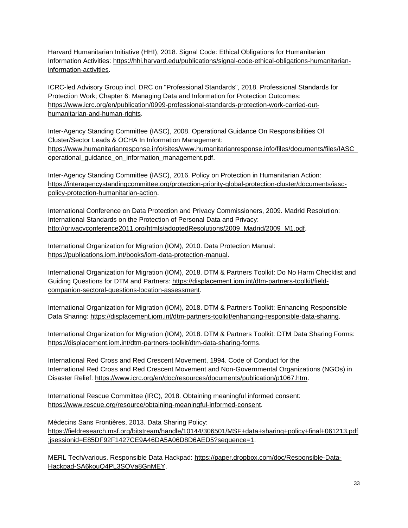Harvard Humanitarian Initiative (HHI), 2018. Signal Code: Ethical Obligations for Humanitarian Information Activities: [https://hhi.harvard.edu/publications/signal-code-ethical-obligations-humanitarian](https://hhi.harvard.edu/publications/signal-code-ethical-obligations-humanitarian-information-activities)[information-activities.](https://hhi.harvard.edu/publications/signal-code-ethical-obligations-humanitarian-information-activities)

ICRC-led Advisory Group incl. DRC on "Professional Standards", 2018. Professional Standards for Protection Work; Chapter 6: Managing Data and Information for Protection Outcomes[:](https://www.icrc.org/en/publication/0999-professional-standards-protection-work-carried-out-humanitarian-and-human-rights) [https://www.icrc.org/en/publication/0999-professional-standards-protection-work-carried-out](https://www.icrc.org/en/publication/0999-professional-standards-protection-work-carried-out-humanitarian-and-human-rights)[humanitarian-and-human-rights.](https://www.icrc.org/en/publication/0999-professional-standards-protection-work-carried-out-humanitarian-and-human-rights)

Inter-Agency Standing Committee (IASC), 2008. Operational Guidance On Responsibilities Of Cluster/Sector Leads & OCHA In Information Management[:](https://www.humanitarianresponse.info/sites/www.humanitarianresponse.info/files/documents/files/IASC_operational_guidance_on_information_management.pdf) [https://www.humanitarianresponse.info/sites/www.humanitarianresponse.info/files/documents/files/IASC\\_](https://www.humanitarianresponse.info/sites/www.humanitarianresponse.info/files/documents/files/IASC_operational_guidance_on_information_management.pdf) [operational\\_guidance\\_on\\_information\\_management.pdf.](https://www.humanitarianresponse.info/sites/www.humanitarianresponse.info/files/documents/files/IASC_operational_guidance_on_information_management.pdf)

Inter-Agency Standing Committee (IASC), 2016. Policy on Protection in Humanitarian Action[:](https://interagencystandingcommittee.org/protection-priority-global-protection-cluster/documents/iasc-policy-protection-humanitarian-action) [https://interagencystandingcommittee.org/protection-priority-global-protection-cluster/documents/iasc](https://interagencystandingcommittee.org/protection-priority-global-protection-cluster/documents/iasc-policy-protection-humanitarian-action)[policy-protection-humanitarian-action.](https://interagencystandingcommittee.org/protection-priority-global-protection-cluster/documents/iasc-policy-protection-humanitarian-action)

International Conference on Data Protection and Privacy Commissioners, 2009. Madrid Resolution: International Standards on the Protection of Personal Data and Privacy[:](http://privacyconference2011.org/htmls/adoptedResolutions/2009_Madrid/2009_M1.pdf) [http://privacyconference2011.org/htmls/adoptedResolutions/2009\\_Madrid/2009\\_M1.pdf.](http://privacyconference2011.org/htmls/adoptedResolutions/2009_Madrid/2009_M1.pdf)

International Organization for Migration (IOM), 2010. Data Protection Manual[:](https://publications.iom.int/books/iom-data-protection-manual) [https://publications.iom.int/books/iom-data-protection-manual.](https://publications.iom.int/books/iom-data-protection-manual)

International Organization for Migration (IOM), 2018. DTM & Partners Toolkit: Do No Harm Checklist and Guiding Questions for DTM and Partners: [https://displacement.iom.int/dtm-partners-toolkit/field](https://displacement.iom.int/dtm-partners-toolkit/field-companion-sectoral-questions-location-assessment)[companion-sectoral-questions-location-assessment.](https://displacement.iom.int/dtm-partners-toolkit/field-companion-sectoral-questions-location-assessment)

International Organization for Migration (IOM), 2018. DTM & Partners Toolkit: Enhancing Responsible Data Sharing: [https://displacement.iom.int/dtm-partners-toolkit/enhancing-responsible-data-sharing.](https://displacement.iom.int/dtm-partners-toolkit/enhancing-responsible-data-sharing)

International Organization for Migration (IOM), 2018. DTM & Partners Toolkit: DTM Data Sharing Forms[:](https://displacement.iom.int/dtm-partners-toolkit/dtm-data-sharing-forms) [https://displacement.iom.int/dtm-partners-toolkit/dtm-data-sharing-forms.](https://displacement.iom.int/dtm-partners-toolkit/dtm-data-sharing-forms)

International Red Cross and Red Crescent Movement, 1994. Code of Conduct for the International Red Cross and Red Crescent Movement and Non-Governmental Organizations (NGOs) in Disaster Relief: [https://www.icrc.org/en/doc/resources/documents/publication/p1067.htm.](https://www.icrc.org/en/doc/resources/documents/publication/p1067.htm)

International Rescue Committee (IRC), 2018. Obtaining meaningful informed consent[:](https://www.rescue.org/resource/obtaining-meaningful-informed-consent) [https://www.rescue.org/resource/obtaining-meaningful-informed-consent.](https://www.rescue.org/resource/obtaining-meaningful-informed-consent)

Médecins Sans Frontières, 2013. Data Sharing Policy[:](https://fieldresearch.msf.org/bitstream/handle/10144/306501/MSF+data+sharing+policy+final+061213.pdf;jsessionid=E85DF92F1427CE9A46DA5A06D8D6AED5?sequence=1) [https://fieldresearch.msf.org/bitstream/handle/10144/306501/MSF+data+sharing+policy+final+061213.pdf](https://fieldresearch.msf.org/bitstream/handle/10144/306501/MSF+data+sharing+policy+final+061213.pdf;jsessionid=E85DF92F1427CE9A46DA5A06D8D6AED5?sequence=1) [;jsessionid=E85DF92F1427CE9A46DA5A06D8D6AED5?sequence=1.](https://fieldresearch.msf.org/bitstream/handle/10144/306501/MSF+data+sharing+policy+final+061213.pdf;jsessionid=E85DF92F1427CE9A46DA5A06D8D6AED5?sequence=1)

MERL Tech/various. Responsible Data Hackpad[:](https://paper.dropbox.com/doc/Responsible-Data-Hackpad-SA6kouQ4PL3SOVa8GnMEY) [https://paper.dropbox.com/doc/Responsible-Data-](https://paper.dropbox.com/doc/Responsible-Data-Hackpad-SA6kouQ4PL3SOVa8GnMEY)[Hackpad-SA6kouQ4PL3SOVa8GnMEY.](https://paper.dropbox.com/doc/Responsible-Data-Hackpad-SA6kouQ4PL3SOVa8GnMEY)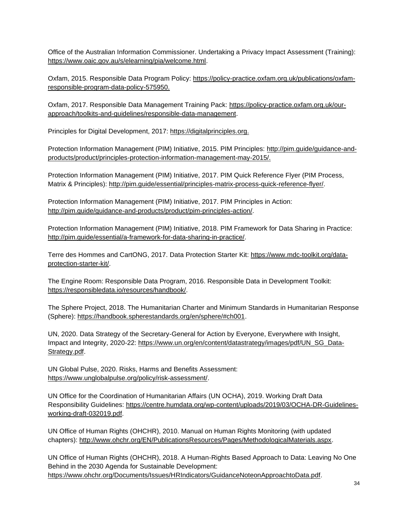Office of the Australian Information Commissioner. Undertaking a Privacy Impact Assessment (Training)[:](https://www.oaic.gov.au/s/elearning/pia/welcome.html) [https://www.oaic.gov.au/s/elearning/pia/welcome.html.](https://www.oaic.gov.au/s/elearning/pia/welcome.html)

Oxfam, 2015. Responsible Data Program Policy: [https://policy-practice.oxfam.org.uk/publications/oxfam](https://policy-practice.oxfam.org.uk/publications/oxfam-responsible-program-data-policy-575950)[responsible-program-data-policy-575950.](https://policy-practice.oxfam.org.uk/publications/oxfam-responsible-program-data-policy-575950)

Oxfam, 2017. Responsible Data Management Training Pack: [https://policy-practice.oxfam.org.uk/our](https://policy-practice.oxfam.org.uk/our-approach/toolkits-and-guidelines/responsible-data-management)[approach/toolkits-and-guidelines/responsible-data-management.](https://policy-practice.oxfam.org.uk/our-approach/toolkits-and-guidelines/responsible-data-management)

Principles for Digital Development, 2017: [https://digitalprinciples.org.](https://digitalprinciples.org/)

Protection Information Management (PIM) Initiative, 2015. PIM Principles: [http://pim.guide/guidance-and](http://pim.guide/guidance-and-products/product/principles-protection-information-management-may-2015/)[products/product/principles-protection-information-management-may-2015/.](http://pim.guide/guidance-and-products/product/principles-protection-information-management-may-2015/)

Protection Information Management (PIM) Initiative, 2017. PIM Quick Reference Flyer (PIM Process, Matrix & Principles): [http://pim.guide/essential/principles-matrix-process-quick-reference-flyer/.](http://pim.guide/essential/principles-matrix-process-quick-reference-flyer/)

Protection Information Management (PIM) Initiative, 2017. PIM Principles in Action[:](http://pim.guide/guidance-and-products/product/pim-principles-action/) [http://pim.guide/guidance-and-products/product/pim-principles-action/.](http://pim.guide/guidance-and-products/product/pim-principles-action/)

Protection Information Management (PIM) Initiative, 2018. PIM Framework for Data Sharing in Practice[:](http://pim.guide/essential/a-framework-for-data-sharing-in-practice/) [http://pim.guide/essential/a-framework-for-data-sharing-in-practice/.](http://pim.guide/essential/a-framework-for-data-sharing-in-practice/)

Terre des Hommes and CartONG, 2017. Data Protection Starter Kit: [https://www.mdc-toolkit.org/data](https://www.mdc-toolkit.org/data-protection-starter-kit/)[protection-starter-kit/.](https://www.mdc-toolkit.org/data-protection-starter-kit/)

The Engine Room: Responsible Data Program, 2016. Responsible Data in Development Toolkit[:](https://responsibledata.io/resources/handbook/) [https://responsibledata.io/resources/handbook/.](https://responsibledata.io/resources/handbook/)

The Sphere Project, 2018. The Humanitarian Charter and Minimum Standards in Humanitarian Response (Sphere): [https://handbook.spherestandards.org/en/sphere/#ch001.](https://handbook.spherestandards.org/en/sphere/#ch001)

UN, 2020. Data Strategy of the Secretary-General for Action by Everyone, Everywhere with Insight, Impact and Integrity, 2020-22: [https://www.un.org/en/content/datastrategy/images/pdf/UN\\_SG\\_Data-](https://www.un.org/en/content/datastrategy/images/pdf/UN_SG_Data-Strategy.pdf)[Strategy.pdf.](https://www.un.org/en/content/datastrategy/images/pdf/UN_SG_Data-Strategy.pdf)

UN Global Pulse, 2020. Risks, Harms and Benefits Assessment[:](https://www.unglobalpulse.org/policy/risk-assessment/) [https://www.unglobalpulse.org/policy/risk-assessment/.](https://www.unglobalpulse.org/policy/risk-assessment/)

UN Office for the Coordination of Humanitarian Affairs (UN OCHA), 2019. Working Draft Data Responsibility Guidelines: [https://centre.humdata.org/wp-content/uploads/2019/03/OCHA-DR-Guidelines](https://centre.humdata.org/wp-content/uploads/2019/03/OCHA-DR-Guidelines-working-draft-032019.pdf)[working-draft-032019.pdf.](https://centre.humdata.org/wp-content/uploads/2019/03/OCHA-DR-Guidelines-working-draft-032019.pdf)

UN Office of Human Rights (OHCHR), 2010. Manual on Human Rights Monitoring (with updated chapters)[:](http://www.ohchr.org/EN/PublicationsResources/Pages/MethodologicalMaterials.aspx) [http://www.ohchr.org/EN/PublicationsResources/Pages/MethodologicalMaterials.aspx.](http://www.ohchr.org/EN/PublicationsResources/Pages/MethodologicalMaterials.aspx)

UN Office of Human Rights (OHCHR), 2018. A Human-Rights Based Approach to Data: Leaving No One Behind in the 2030 Agenda for Sustainable Development[:](https://www.ohchr.org/Documents/Issues/HRIndicators/GuidanceNoteonApproachtoData.pdf) [https://www.ohchr.org/Documents/Issues/HRIndicators/GuidanceNoteonApproachtoData.pdf.](https://www.ohchr.org/Documents/Issues/HRIndicators/GuidanceNoteonApproachtoData.pdf)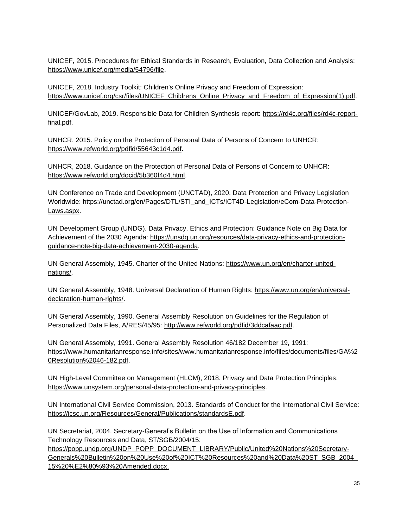UNICEF, 2015. Procedures for Ethical Standards in Research, Evaluation, Data Collection and Analysis[:](https://www.unicef.org/supply/files/ATTACHMENT_IV-UNICEF_Procedure_for_Ethical_Standards.PDF) [https://www.unicef.org/media/54796/file.](https://www.unicef.org/media/54796/file)

UNICEF, 2018. Industry Toolkit: Children's Online Privacy and Freedom of Expression[:](https://www.unicef.org/csr/files/UNICEF_Childrens_Online_Privacy_and_Freedom_of_Expression(1).pdf) [https://www.unicef.org/csr/files/UNICEF\\_Childrens\\_Online\\_Privacy\\_and\\_Freedom\\_of\\_Expression\(1\).pdf.](https://www.unicef.org/csr/files/UNICEF_Childrens_Online_Privacy_and_Freedom_of_Expression(1).pdf)

UNICEF/GovLab, 2019. Responsible Data for Children Synthesis report: [https://rd4c.org/files/rd4c-report](https://rd4c.org/files/rd4c-report-final.pdf)[final.pdf.](https://rd4c.org/files/rd4c-report-final.pdf)

UNHCR, 2015. Policy on the Protection of Personal Data of Persons of Concern to UNHCR: [https://www.refworld.org/pdfid/55643c1d4.pdf.](https://www.refworld.org/pdfid/55643c1d4.pdf)

UNHCR, 2018. Guidance on the Protection of Personal Data of Persons of Concern to UNHCR: [https://www.refworld.org/docid/5b360f4d4.html.](https://www.refworld.org/docid/5b360f4d4.html)

UN Conference on Trade and Development (UNCTAD), 2020. Data Protection and Privacy Legislation Worldwide[:](https://unctad.org/en/Pages/DTL/STI_and_ICTs/ICT4D-Legislation/eCom-Data-Protection-Laws.aspx) [https://unctad.org/en/Pages/DTL/STI\\_and\\_ICTs/ICT4D-Legislation/eCom-Data-Protection-](https://unctad.org/en/Pages/DTL/STI_and_ICTs/ICT4D-Legislation/eCom-Data-Protection-Laws.aspx)[Laws.aspx.](https://unctad.org/en/Pages/DTL/STI_and_ICTs/ICT4D-Legislation/eCom-Data-Protection-Laws.aspx)

UN Development Group (UNDG). Data Privacy, Ethics and Protection: Guidance Note on Big Data for Achievement of the 2030 Agenda: [https://unsdg.un.org/resources/data-privacy-ethics-and-protection](https://unsdg.un.org/resources/data-privacy-ethics-and-protection-guidance-note-big-data-achievement-2030-agenda)[guidance-note-big-data-achievement-2030-agenda.](https://unsdg.un.org/resources/data-privacy-ethics-and-protection-guidance-note-big-data-achievement-2030-agenda)

UN General Assembly, 1945. Charter of the United Nations: [https://www.un.org/en/charter-united](https://www.un.org/en/charter-united-nations/)[nations/.](https://www.un.org/en/charter-united-nations/)

UN General Assembly, 1948. Universal Declaration of Human Rights[:](http://www.un.org/en/ga/search/view_doc.asp?symbol=A/RES/217(III)) [https://www.un.org/en/universal](https://www.un.org/en/universal-declaration-human-rights/)[declaration-human-rights/.](https://www.un.org/en/universal-declaration-human-rights/)

UN General Assembly, 1990. General Assembly Resolution on Guidelines for the Regulation of Personalized Data Files, A/RES/45/95: [http://www.refworld.org/pdfid/3ddcafaac.pdf.](http://www.refworld.org/pdfid/3ddcafaac.pdf)

UN General Assembly, 1991. General Assembly Resolution 46/182 December 19, 1991[:](http://www.un.org/documents/ga/res/46/a46r182.htm) [https://www.humanitarianresponse.info/sites/www.humanitarianresponse.info/files/documents/files/GA%2](https://www.humanitarianresponse.info/sites/www.humanitarianresponse.info/files/documents/files/GA%20Resolution%2046-182.pdf) [0Resolution%2046-182.pdf.](https://www.humanitarianresponse.info/sites/www.humanitarianresponse.info/files/documents/files/GA%20Resolution%2046-182.pdf)

UN High-Level Committee on Management (HLCM), 2018. Privacy and Data Protection Principles: [https://www.unsystem.org/personal-data-protection-and-privacy-principles.](https://www.unsystem.org/personal-data-protection-and-privacy-principles)

UN International Civil Service Commission, 2013. Standards of Conduct for the International Civil Service[:](https://icsc.un.org/Resources/General/Publications/standardsE.pdf) [https://icsc.un.org/Resources/General/Publications/standardsE.pdf.](https://icsc.un.org/Resources/General/Publications/standardsE.pdf)

UN Secretariat, 2004. Secretary-General's Bulletin on the Use of Information and Communications Technology Resources and Data, ST/SGB/2004/15[:](https://undocs.org/ST/SGB/2004/15) https://popp.undp.org/UNDP\_POPP\_DOCUMENT\_LIBRARY/Public/United%20Nations%20Secretary-Generals%20Bulletin%20on%20Use%20of%20ICT%20Resources%20and%20Data%20ST\_SGB\_2004\_ 15%20%E2%80%93%20Amended.docx.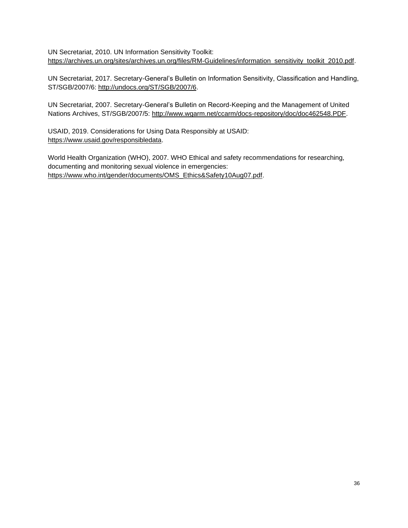UN Secretariat, 2010. UN Information Sensitivity Toolkit[:](https://archives.un.org/sites/archives.un.org/files/RM-Guidelines/information_sensitivity_toolkit_2010.pdf) [https://archives.un.org/sites/archives.un.org/files/RM-Guidelines/information\\_sensitivity\\_toolkit\\_2010.pdf.](https://archives.un.org/sites/archives.un.org/files/RM-Guidelines/information_sensitivity_toolkit_2010.pdf)

UN Secretariat, 2017. Secretary-General's Bulletin on Information Sensitivity, Classification and Handling, ST/SGB/2007/6: [http://undocs.org/ST/SGB/2007/6.](http://undocs.org/ST/SGB/2007/6)

UN Secretariat, 2007. Secretary-General's Bulletin on Record-Keeping and the Management of United Nations Archives, ST/SGB/2007/5[:](https://archives.un.org/content/policy) [http://www.wgarm.net/ccarm/docs-repository/doc/doc462548.PDF.](http://www.wgarm.net/ccarm/docs-repository/doc/doc462548.PDF)

USAID, 2019. Considerations for Using Data Responsibly at USAID[:](https://www.usaid.gov/responsibledata) [https://www.usaid.gov/responsibledata.](https://www.usaid.gov/responsibledata)

World Health Organization (WHO), 2007. WHO Ethical and safety recommendations for researching, documenting and monitoring sexual violence in emergencies[:](https://www.who.int/gender/documents/OMS_Ethics&Safety10Aug07.pdf) [https://www.who.int/gender/documents/OMS\\_Ethics&Safety10Aug07.pdf.](https://www.who.int/gender/documents/OMS_Ethics&Safety10Aug07.pdf)